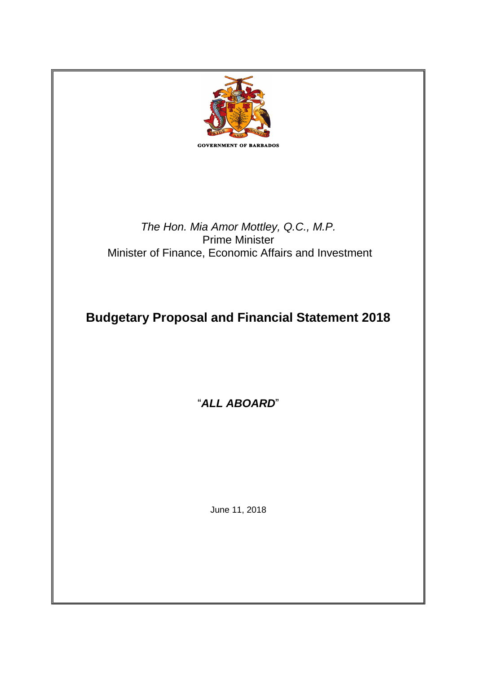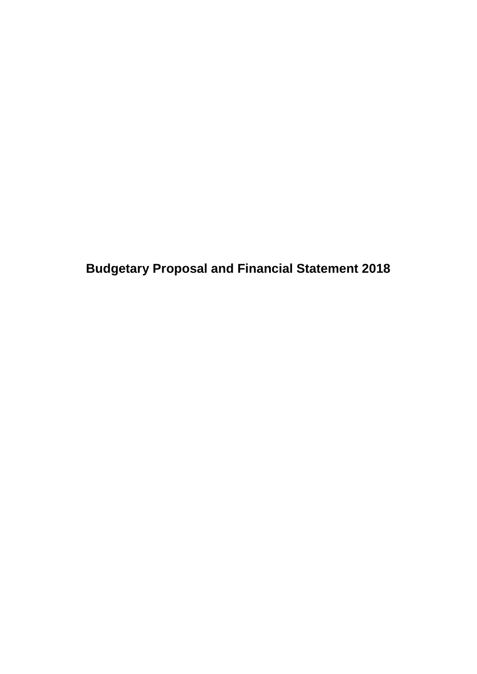**Budgetary Proposal and Financial Statement 2018**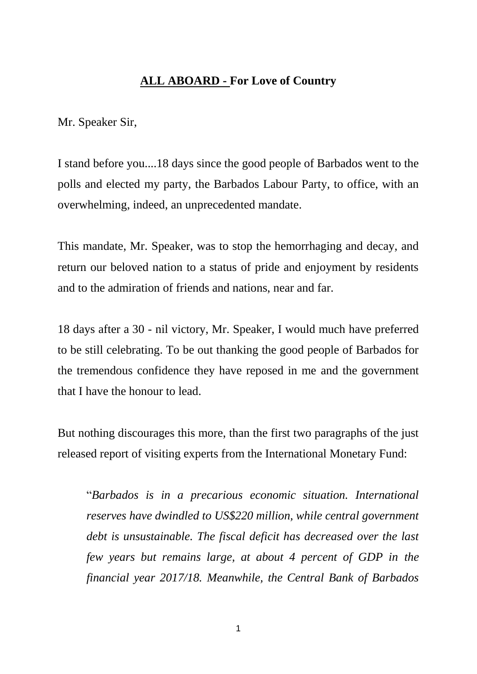# **ALL ABOARD - For Love of Country**

Mr. Speaker Sir,

I stand before you....18 days since the good people of Barbados went to the polls and elected my party, the Barbados Labour Party, to office, with an overwhelming, indeed, an unprecedented mandate.

This mandate, Mr. Speaker, was to stop the hemorrhaging and decay, and return our beloved nation to a status of pride and enjoyment by residents and to the admiration of friends and nations, near and far.

18 days after a 30 - nil victory, Mr. Speaker, I would much have preferred to be still celebrating. To be out thanking the good people of Barbados for the tremendous confidence they have reposed in me and the government that I have the honour to lead.

But nothing discourages this more, than the first two paragraphs of the just released report of visiting experts from the International Monetary Fund:

"*Barbados is in a precarious economic situation. International reserves have dwindled to US\$220 million, while central government debt is unsustainable. The fiscal deficit has decreased over the last few years but remains large, at about 4 percent of GDP in the financial year 2017/18. Meanwhile, the Central Bank of Barbados*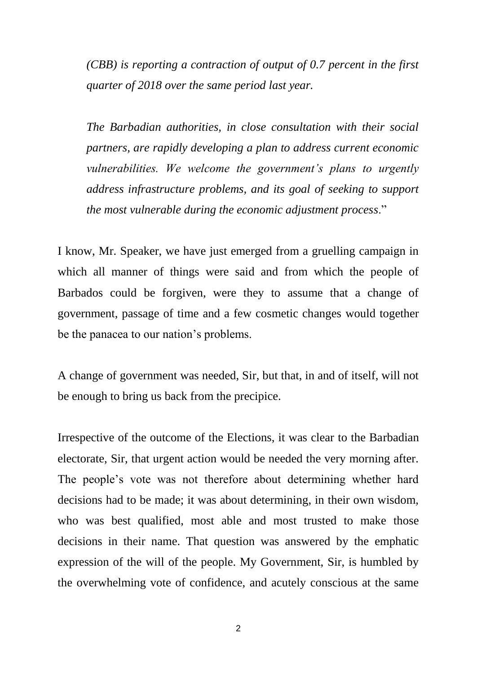*(CBB) is reporting a contraction of output of 0.7 percent in the first quarter of 2018 over the same period last year.*

*The Barbadian authorities, in close consultation with their social partners, are rapidly developing a plan to address current economic vulnerabilities. We welcome the government's plans to urgently address infrastructure problems, and its goal of seeking to support the most vulnerable during the economic adjustment process*."

I know, Mr. Speaker, we have just emerged from a gruelling campaign in which all manner of things were said and from which the people of Barbados could be forgiven, were they to assume that a change of government, passage of time and a few cosmetic changes would together be the panacea to our nation's problems.

A change of government was needed, Sir, but that, in and of itself, will not be enough to bring us back from the precipice.

Irrespective of the outcome of the Elections, it was clear to the Barbadian electorate, Sir, that urgent action would be needed the very morning after. The people's vote was not therefore about determining whether hard decisions had to be made; it was about determining, in their own wisdom, who was best qualified, most able and most trusted to make those decisions in their name. That question was answered by the emphatic expression of the will of the people. My Government, Sir, is humbled by the overwhelming vote of confidence, and acutely conscious at the same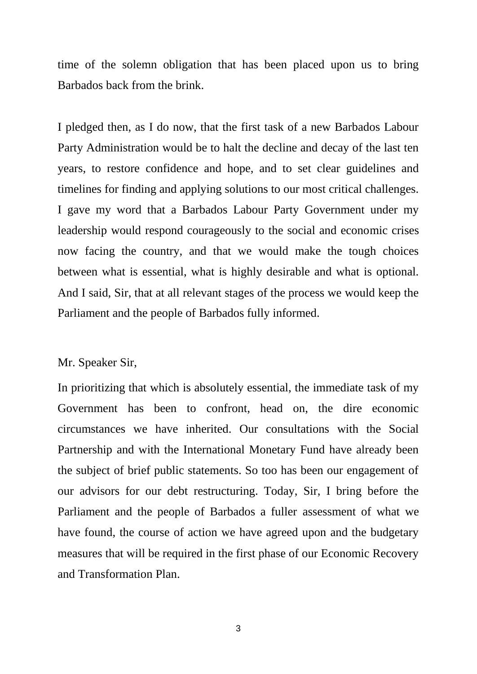time of the solemn obligation that has been placed upon us to bring Barbados back from the brink.

I pledged then, as I do now, that the first task of a new Barbados Labour Party Administration would be to halt the decline and decay of the last ten years, to restore confidence and hope, and to set clear guidelines and timelines for finding and applying solutions to our most critical challenges. I gave my word that a Barbados Labour Party Government under my leadership would respond courageously to the social and economic crises now facing the country, and that we would make the tough choices between what is essential, what is highly desirable and what is optional. And I said, Sir, that at all relevant stages of the process we would keep the Parliament and the people of Barbados fully informed.

### Mr. Speaker Sir,

In prioritizing that which is absolutely essential, the immediate task of my Government has been to confront, head on, the dire economic circumstances we have inherited. Our consultations with the Social Partnership and with the International Monetary Fund have already been the subject of brief public statements. So too has been our engagement of our advisors for our debt restructuring. Today, Sir, I bring before the Parliament and the people of Barbados a fuller assessment of what we have found, the course of action we have agreed upon and the budgetary measures that will be required in the first phase of our Economic Recovery and Transformation Plan.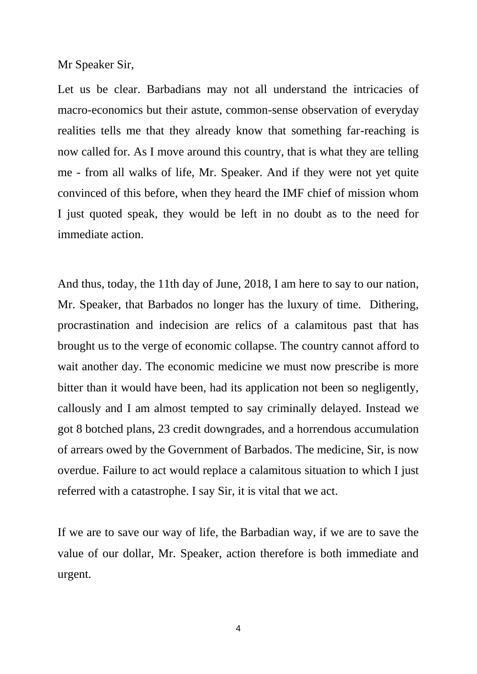Mr Speaker Sir,

Let us be clear. Barbadians may not all understand the intricacies of macro-economics but their astute, common-sense observation of everyday realities tells me that they already know that something far-reaching is now called for. As I move around this country, that is what they are telling me - from all walks of life, Mr. Speaker. And if they were not yet quite convinced of this before, when they heard the IMF chief of mission whom I just quoted speak, they would be left in no doubt as to the need for immediate action.

And thus, today, the 11th day of June, 2018, I am here to say to our nation, Mr. Speaker, that Barbados no longer has the luxury of time. Dithering, procrastination and indecision are relics of a calamitous past that has brought us to the verge of economic collapse. The country cannot afford to wait another day. The economic medicine we must now prescribe is more bitter than it would have been, had its application not been so negligently, callously and I am almost tempted to say criminally delayed. Instead we got 8 botched plans, 23 credit downgrades, and a horrendous accumulation of arrears owed by the Government of Barbados. The medicine, Sir, is now overdue. Failure to act would replace a calamitous situation to which I just referred with a catastrophe. I say Sir, it is vital that we act.

If we are to save our way of life, the Barbadian way, if we are to save the value of our dollar, Mr. Speaker, action therefore is both immediate and urgent.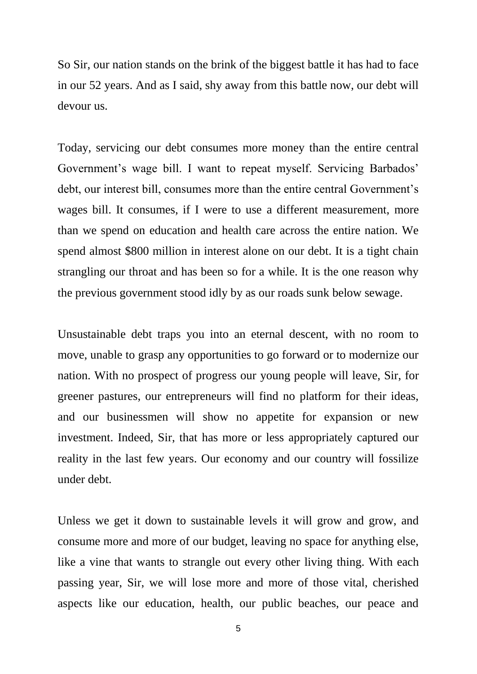So Sir, our nation stands on the brink of the biggest battle it has had to face in our 52 years. And as I said, shy away from this battle now, our debt will devour us.

Today, servicing our debt consumes more money than the entire central Government's wage bill. I want to repeat myself. Servicing Barbados' debt, our interest bill, consumes more than the entire central Government's wages bill. It consumes, if I were to use a different measurement, more than we spend on education and health care across the entire nation. We spend almost \$800 million in interest alone on our debt. It is a tight chain strangling our throat and has been so for a while. It is the one reason why the previous government stood idly by as our roads sunk below sewage.

Unsustainable debt traps you into an eternal descent, with no room to move, unable to grasp any opportunities to go forward or to modernize our nation. With no prospect of progress our young people will leave, Sir, for greener pastures, our entrepreneurs will find no platform for their ideas, and our businessmen will show no appetite for expansion or new investment. Indeed, Sir, that has more or less appropriately captured our reality in the last few years. Our economy and our country will fossilize under debt.

Unless we get it down to sustainable levels it will grow and grow, and consume more and more of our budget, leaving no space for anything else, like a vine that wants to strangle out every other living thing. With each passing year, Sir, we will lose more and more of those vital, cherished aspects like our education, health, our public beaches, our peace and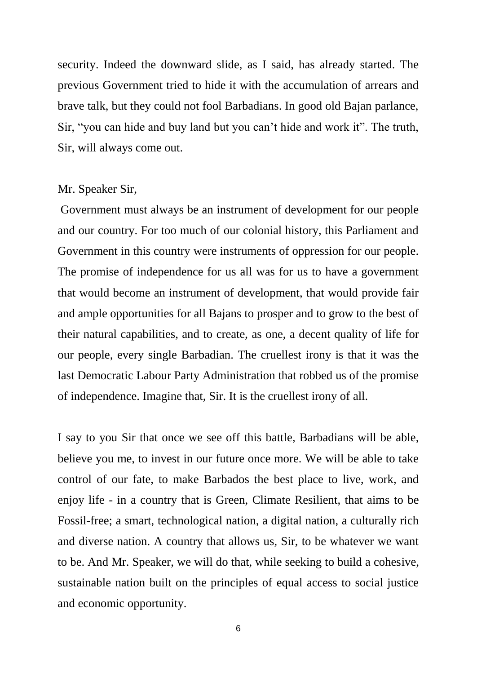security. Indeed the downward slide, as I said, has already started. The previous Government tried to hide it with the accumulation of arrears and brave talk, but they could not fool Barbadians. In good old Bajan parlance, Sir, "you can hide and buy land but you can't hide and work it". The truth, Sir, will always come out.

#### Mr. Speaker Sir,

Government must always be an instrument of development for our people and our country. For too much of our colonial history, this Parliament and Government in this country were instruments of oppression for our people. The promise of independence for us all was for us to have a government that would become an instrument of development, that would provide fair and ample opportunities for all Bajans to prosper and to grow to the best of their natural capabilities, and to create, as one, a decent quality of life for our people, every single Barbadian. The cruellest irony is that it was the last Democratic Labour Party Administration that robbed us of the promise of independence. Imagine that, Sir. It is the cruellest irony of all.

I say to you Sir that once we see off this battle, Barbadians will be able, believe you me, to invest in our future once more. We will be able to take control of our fate, to make Barbados the best place to live, work, and enjoy life - in a country that is Green, Climate Resilient, that aims to be Fossil-free; a smart, technological nation, a digital nation, a culturally rich and diverse nation. A country that allows us, Sir, to be whatever we want to be. And Mr. Speaker, we will do that, while seeking to build a cohesive, sustainable nation built on the principles of equal access to social justice and economic opportunity.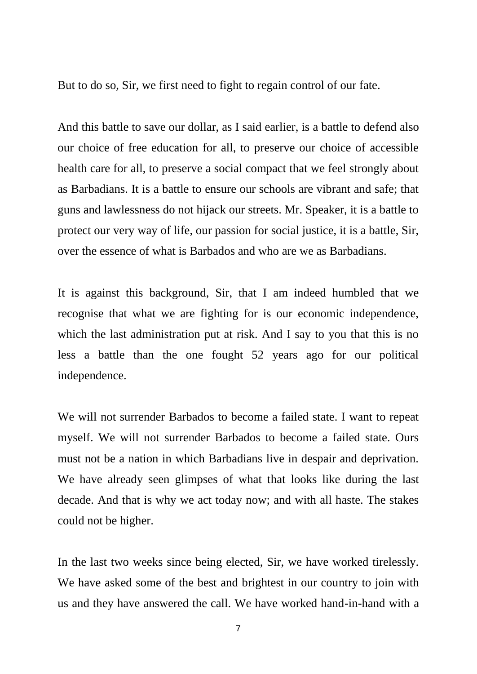But to do so, Sir, we first need to fight to regain control of our fate.

And this battle to save our dollar, as I said earlier, is a battle to defend also our choice of free education for all, to preserve our choice of accessible health care for all, to preserve a social compact that we feel strongly about as Barbadians. It is a battle to ensure our schools are vibrant and safe; that guns and lawlessness do not hijack our streets. Mr. Speaker, it is a battle to protect our very way of life, our passion for social justice, it is a battle, Sir, over the essence of what is Barbados and who are we as Barbadians.

It is against this background, Sir, that I am indeed humbled that we recognise that what we are fighting for is our economic independence, which the last administration put at risk. And I say to you that this is no less a battle than the one fought 52 years ago for our political independence.

We will not surrender Barbados to become a failed state. I want to repeat myself. We will not surrender Barbados to become a failed state. Ours must not be a nation in which Barbadians live in despair and deprivation. We have already seen glimpses of what that looks like during the last decade. And that is why we act today now; and with all haste. The stakes could not be higher.

In the last two weeks since being elected, Sir, we have worked tirelessly. We have asked some of the best and brightest in our country to join with us and they have answered the call. We have worked hand-in-hand with a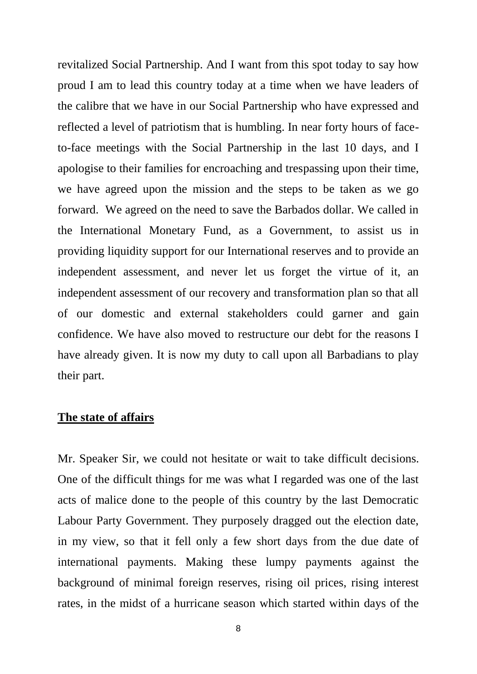revitalized Social Partnership. And I want from this spot today to say how proud I am to lead this country today at a time when we have leaders of the calibre that we have in our Social Partnership who have expressed and reflected a level of patriotism that is humbling. In near forty hours of faceto-face meetings with the Social Partnership in the last 10 days, and I apologise to their families for encroaching and trespassing upon their time, we have agreed upon the mission and the steps to be taken as we go forward. We agreed on the need to save the Barbados dollar. We called in the International Monetary Fund, as a Government, to assist us in providing liquidity support for our International reserves and to provide an independent assessment, and never let us forget the virtue of it, an independent assessment of our recovery and transformation plan so that all of our domestic and external stakeholders could garner and gain confidence. We have also moved to restructure our debt for the reasons I have already given. It is now my duty to call upon all Barbadians to play their part.

### **The state of affairs**

Mr. Speaker Sir, we could not hesitate or wait to take difficult decisions. One of the difficult things for me was what I regarded was one of the last acts of malice done to the people of this country by the last Democratic Labour Party Government. They purposely dragged out the election date, in my view, so that it fell only a few short days from the due date of international payments. Making these lumpy payments against the background of minimal foreign reserves, rising oil prices, rising interest rates, in the midst of a hurricane season which started within days of the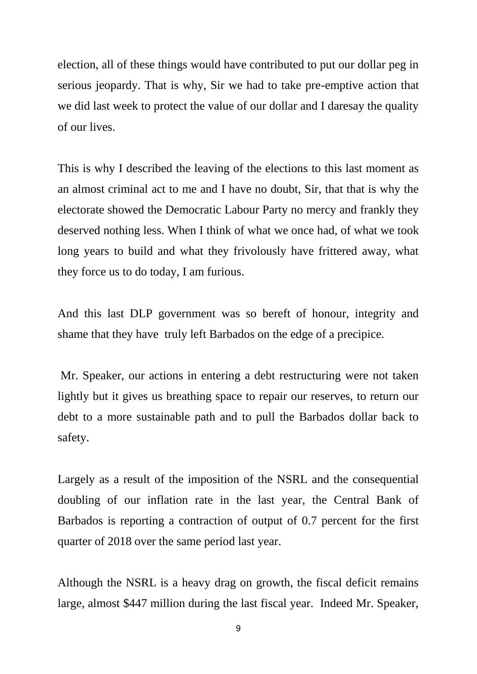election, all of these things would have contributed to put our dollar peg in serious jeopardy. That is why, Sir we had to take pre-emptive action that we did last week to protect the value of our dollar and I daresay the quality of our lives.

This is why I described the leaving of the elections to this last moment as an almost criminal act to me and I have no doubt, Sir, that that is why the electorate showed the Democratic Labour Party no mercy and frankly they deserved nothing less. When I think of what we once had, of what we took long years to build and what they frivolously have frittered away, what they force us to do today, I am furious.

And this last DLP government was so bereft of honour, integrity and shame that they have truly left Barbados on the edge of a precipice.

Mr. Speaker, our actions in entering a debt restructuring were not taken lightly but it gives us breathing space to repair our reserves, to return our debt to a more sustainable path and to pull the Barbados dollar back to safety.

Largely as a result of the imposition of the NSRL and the consequential doubling of our inflation rate in the last year, the Central Bank of Barbados is reporting a contraction of output of 0.7 percent for the first quarter of 2018 over the same period last year.

Although the NSRL is a heavy drag on growth, the fiscal deficit remains large, almost \$447 million during the last fiscal year. Indeed Mr. Speaker,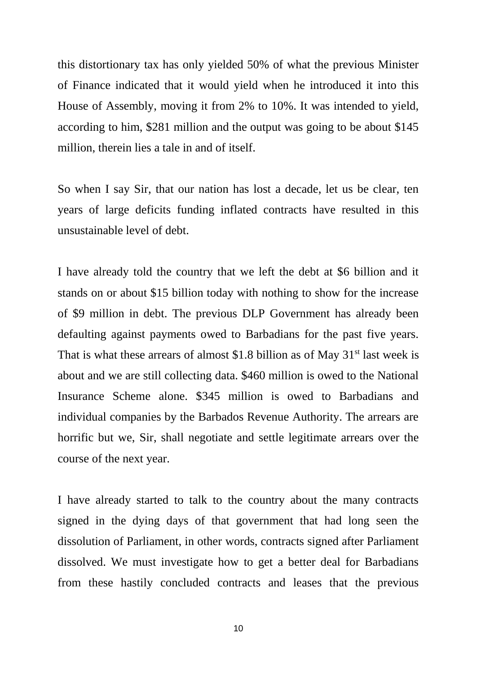this distortionary tax has only yielded 50% of what the previous Minister of Finance indicated that it would yield when he introduced it into this House of Assembly, moving it from 2% to 10%. It was intended to yield, according to him, \$281 million and the output was going to be about \$145 million, therein lies a tale in and of itself.

So when I say Sir, that our nation has lost a decade, let us be clear, ten years of large deficits funding inflated contracts have resulted in this unsustainable level of debt.

I have already told the country that we left the debt at \$6 billion and it stands on or about \$15 billion today with nothing to show for the increase of \$9 million in debt. The previous DLP Government has already been defaulting against payments owed to Barbadians for the past five years. That is what these arrears of almost \$1.8 billion as of May  $31<sup>st</sup>$  last week is about and we are still collecting data. \$460 million is owed to the National Insurance Scheme alone. \$345 million is owed to Barbadians and individual companies by the Barbados Revenue Authority. The arrears are horrific but we, Sir, shall negotiate and settle legitimate arrears over the course of the next year.

I have already started to talk to the country about the many contracts signed in the dying days of that government that had long seen the dissolution of Parliament, in other words, contracts signed after Parliament dissolved. We must investigate how to get a better deal for Barbadians from these hastily concluded contracts and leases that the previous

10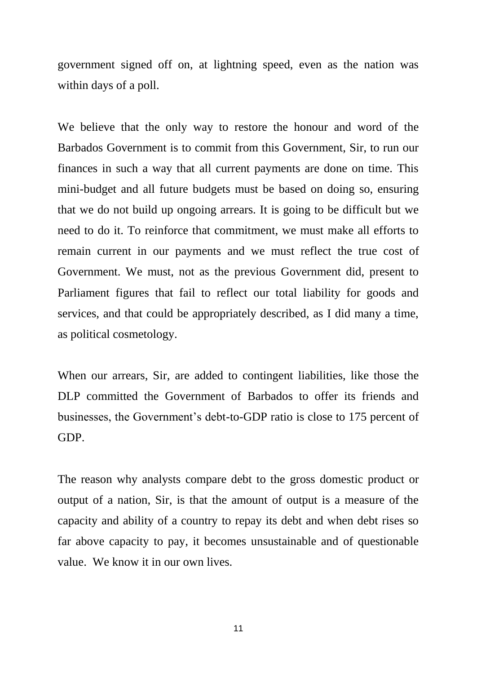government signed off on, at lightning speed, even as the nation was within days of a poll.

We believe that the only way to restore the honour and word of the Barbados Government is to commit from this Government, Sir, to run our finances in such a way that all current payments are done on time. This mini-budget and all future budgets must be based on doing so, ensuring that we do not build up ongoing arrears. It is going to be difficult but we need to do it. To reinforce that commitment, we must make all efforts to remain current in our payments and we must reflect the true cost of Government. We must, not as the previous Government did, present to Parliament figures that fail to reflect our total liability for goods and services, and that could be appropriately described, as I did many a time, as political cosmetology.

When our arrears, Sir, are added to contingent liabilities, like those the DLP committed the Government of Barbados to offer its friends and businesses, the Government's debt-to-GDP ratio is close to 175 percent of GDP.

The reason why analysts compare debt to the gross domestic product or output of a nation, Sir, is that the amount of output is a measure of the capacity and ability of a country to repay its debt and when debt rises so far above capacity to pay, it becomes unsustainable and of questionable value. We know it in our own lives.

11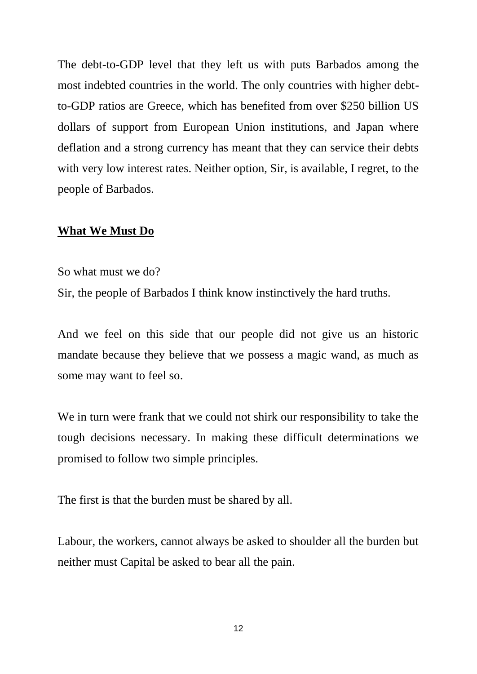The debt-to-GDP level that they left us with puts Barbados among the most indebted countries in the world. The only countries with higher debtto-GDP ratios are Greece, which has benefited from over \$250 billion US dollars of support from European Union institutions, and Japan where deflation and a strong currency has meant that they can service their debts with very low interest rates. Neither option, Sir, is available, I regret, to the people of Barbados.

### **What We Must Do**

So what must we do?

Sir, the people of Barbados I think know instinctively the hard truths.

And we feel on this side that our people did not give us an historic mandate because they believe that we possess a magic wand, as much as some may want to feel so.

We in turn were frank that we could not shirk our responsibility to take the tough decisions necessary. In making these difficult determinations we promised to follow two simple principles.

The first is that the burden must be shared by all.

Labour, the workers, cannot always be asked to shoulder all the burden but neither must Capital be asked to bear all the pain.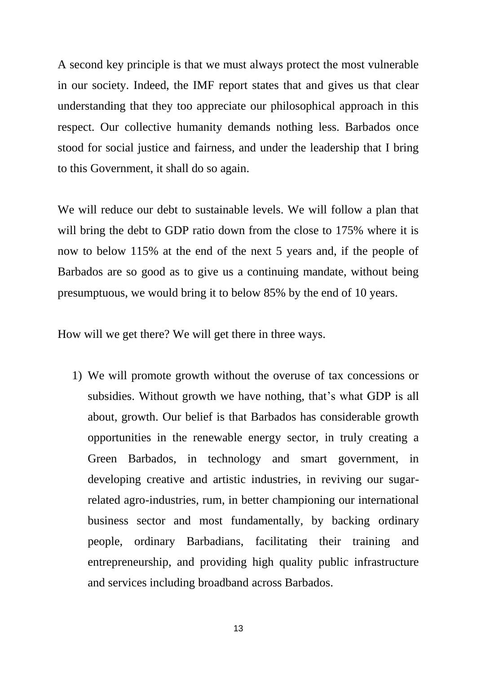A second key principle is that we must always protect the most vulnerable in our society. Indeed, the IMF report states that and gives us that clear understanding that they too appreciate our philosophical approach in this respect. Our collective humanity demands nothing less. Barbados once stood for social justice and fairness, and under the leadership that I bring to this Government, it shall do so again.

We will reduce our debt to sustainable levels. We will follow a plan that will bring the debt to GDP ratio down from the close to 175% where it is now to below 115% at the end of the next 5 years and, if the people of Barbados are so good as to give us a continuing mandate, without being presumptuous, we would bring it to below 85% by the end of 10 years.

How will we get there? We will get there in three ways.

1) We will promote growth without the overuse of tax concessions or subsidies. Without growth we have nothing, that's what GDP is all about, growth. Our belief is that Barbados has considerable growth opportunities in the renewable energy sector, in truly creating a Green Barbados, in technology and smart government, in developing creative and artistic industries, in reviving our sugarrelated agro-industries, rum, in better championing our international business sector and most fundamentally, by backing ordinary people, ordinary Barbadians, facilitating their training and entrepreneurship, and providing high quality public infrastructure and services including broadband across Barbados.

13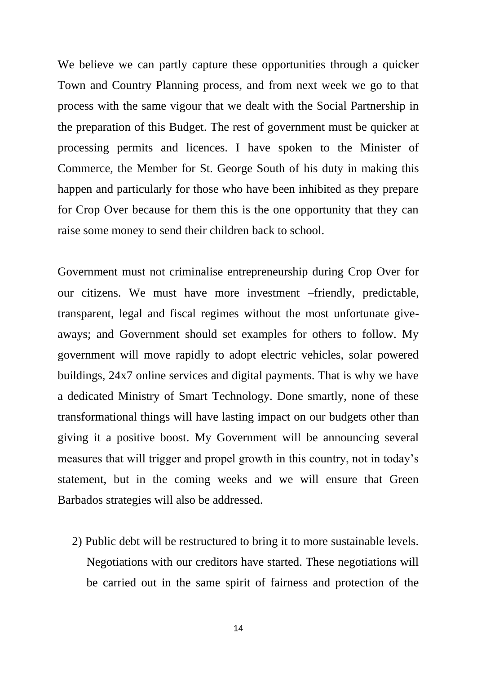We believe we can partly capture these opportunities through a quicker Town and Country Planning process, and from next week we go to that process with the same vigour that we dealt with the Social Partnership in the preparation of this Budget. The rest of government must be quicker at processing permits and licences. I have spoken to the Minister of Commerce, the Member for St. George South of his duty in making this happen and particularly for those who have been inhibited as they prepare for Crop Over because for them this is the one opportunity that they can raise some money to send their children back to school.

Government must not criminalise entrepreneurship during Crop Over for our citizens. We must have more investment –friendly, predictable, transparent, legal and fiscal regimes without the most unfortunate giveaways; and Government should set examples for others to follow. My government will move rapidly to adopt electric vehicles, solar powered buildings, 24x7 online services and digital payments. That is why we have a dedicated Ministry of Smart Technology. Done smartly, none of these transformational things will have lasting impact on our budgets other than giving it a positive boost. My Government will be announcing several measures that will trigger and propel growth in this country, not in today's statement, but in the coming weeks and we will ensure that Green Barbados strategies will also be addressed.

2) Public debt will be restructured to bring it to more sustainable levels. Negotiations with our creditors have started. These negotiations will be carried out in the same spirit of fairness and protection of the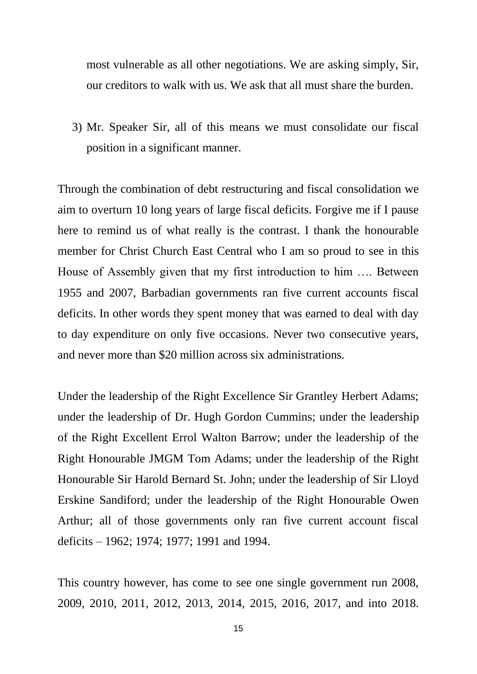most vulnerable as all other negotiations. We are asking simply, Sir, our creditors to walk with us. We ask that all must share the burden.

3) Mr. Speaker Sir, all of this means we must consolidate our fiscal position in a significant manner.

Through the combination of debt restructuring and fiscal consolidation we aim to overturn 10 long years of large fiscal deficits. Forgive me if I pause here to remind us of what really is the contrast. I thank the honourable member for Christ Church East Central who I am so proud to see in this House of Assembly given that my first introduction to him …. Between 1955 and 2007, Barbadian governments ran five current accounts fiscal deficits. In other words they spent money that was earned to deal with day to day expenditure on only five occasions. Never two consecutive years, and never more than \$20 million across six administrations.

Under the leadership of the Right Excellence Sir Grantley Herbert Adams; under the leadership of Dr. Hugh Gordon Cummins; under the leadership of the Right Excellent Errol Walton Barrow; under the leadership of the Right Honourable JMGM Tom Adams; under the leadership of the Right Honourable Sir Harold Bernard St. John; under the leadership of Sir Lloyd Erskine Sandiford; under the leadership of the Right Honourable Owen Arthur; all of those governments only ran five current account fiscal deficits – 1962; 1974; 1977; 1991 and 1994.

This country however, has come to see one single government run 2008, 2009, 2010, 2011, 2012, 2013, 2014, 2015, 2016, 2017, and into 2018.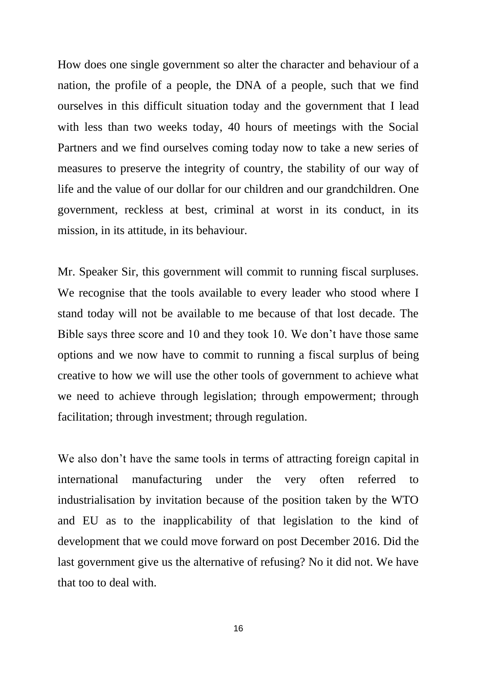How does one single government so alter the character and behaviour of a nation, the profile of a people, the DNA of a people, such that we find ourselves in this difficult situation today and the government that I lead with less than two weeks today, 40 hours of meetings with the Social Partners and we find ourselves coming today now to take a new series of measures to preserve the integrity of country, the stability of our way of life and the value of our dollar for our children and our grandchildren. One government, reckless at best, criminal at worst in its conduct, in its mission, in its attitude, in its behaviour.

Mr. Speaker Sir, this government will commit to running fiscal surpluses. We recognise that the tools available to every leader who stood where I stand today will not be available to me because of that lost decade. The Bible says three score and 10 and they took 10. We don't have those same options and we now have to commit to running a fiscal surplus of being creative to how we will use the other tools of government to achieve what we need to achieve through legislation; through empowerment; through facilitation; through investment; through regulation.

We also don't have the same tools in terms of attracting foreign capital in international manufacturing under the very often referred to industrialisation by invitation because of the position taken by the WTO and EU as to the inapplicability of that legislation to the kind of development that we could move forward on post December 2016. Did the last government give us the alternative of refusing? No it did not. We have that too to deal with.

16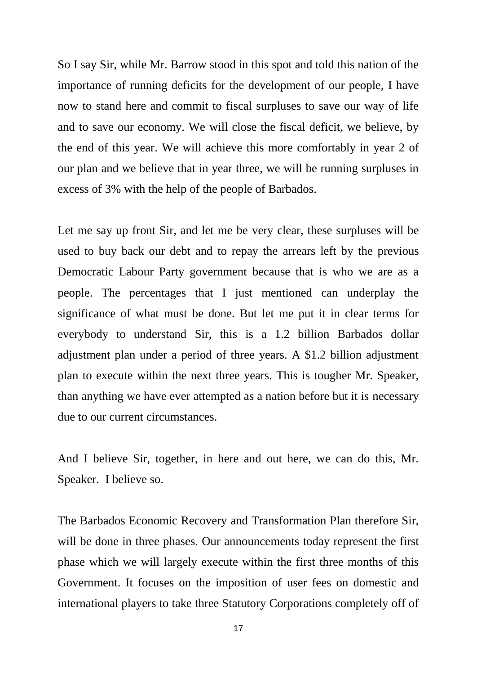So I say Sir, while Mr. Barrow stood in this spot and told this nation of the importance of running deficits for the development of our people, I have now to stand here and commit to fiscal surpluses to save our way of life and to save our economy. We will close the fiscal deficit, we believe, by the end of this year. We will achieve this more comfortably in year 2 of our plan and we believe that in year three, we will be running surpluses in excess of 3% with the help of the people of Barbados.

Let me say up front Sir, and let me be very clear, these surpluses will be used to buy back our debt and to repay the arrears left by the previous Democratic Labour Party government because that is who we are as a people. The percentages that I just mentioned can underplay the significance of what must be done. But let me put it in clear terms for everybody to understand Sir, this is a 1.2 billion Barbados dollar adjustment plan under a period of three years. A \$1.2 billion adjustment plan to execute within the next three years. This is tougher Mr. Speaker, than anything we have ever attempted as a nation before but it is necessary due to our current circumstances.

And I believe Sir, together, in here and out here, we can do this, Mr. Speaker. I believe so.

The Barbados Economic Recovery and Transformation Plan therefore Sir, will be done in three phases. Our announcements today represent the first phase which we will largely execute within the first three months of this Government. It focuses on the imposition of user fees on domestic and international players to take three Statutory Corporations completely off of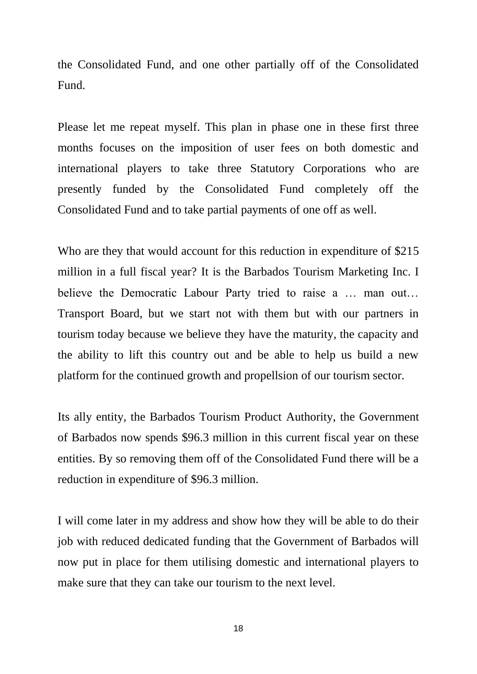the Consolidated Fund, and one other partially off of the Consolidated Fund.

Please let me repeat myself. This plan in phase one in these first three months focuses on the imposition of user fees on both domestic and international players to take three Statutory Corporations who are presently funded by the Consolidated Fund completely off the Consolidated Fund and to take partial payments of one off as well.

Who are they that would account for this reduction in expenditure of \$215 million in a full fiscal year? It is the Barbados Tourism Marketing Inc. I believe the Democratic Labour Party tried to raise a … man out… Transport Board, but we start not with them but with our partners in tourism today because we believe they have the maturity, the capacity and the ability to lift this country out and be able to help us build a new platform for the continued growth and propellsion of our tourism sector.

Its ally entity, the Barbados Tourism Product Authority, the Government of Barbados now spends \$96.3 million in this current fiscal year on these entities. By so removing them off of the Consolidated Fund there will be a reduction in expenditure of \$96.3 million.

I will come later in my address and show how they will be able to do their job with reduced dedicated funding that the Government of Barbados will now put in place for them utilising domestic and international players to make sure that they can take our tourism to the next level.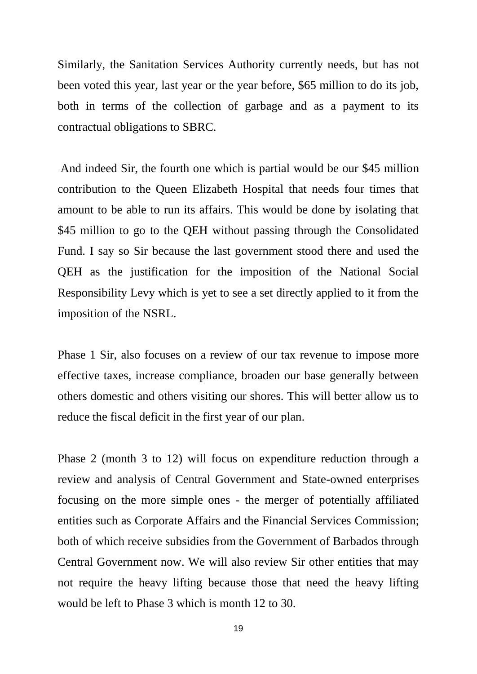Similarly, the Sanitation Services Authority currently needs, but has not been voted this year, last year or the year before, \$65 million to do its job, both in terms of the collection of garbage and as a payment to its contractual obligations to SBRC.

And indeed Sir, the fourth one which is partial would be our \$45 million contribution to the Queen Elizabeth Hospital that needs four times that amount to be able to run its affairs. This would be done by isolating that \$45 million to go to the QEH without passing through the Consolidated Fund. I say so Sir because the last government stood there and used the QEH as the justification for the imposition of the National Social Responsibility Levy which is yet to see a set directly applied to it from the imposition of the NSRL.

Phase 1 Sir, also focuses on a review of our tax revenue to impose more effective taxes, increase compliance, broaden our base generally between others domestic and others visiting our shores. This will better allow us to reduce the fiscal deficit in the first year of our plan.

Phase 2 (month 3 to 12) will focus on expenditure reduction through a review and analysis of Central Government and State-owned enterprises focusing on the more simple ones - the merger of potentially affiliated entities such as Corporate Affairs and the Financial Services Commission; both of which receive subsidies from the Government of Barbados through Central Government now. We will also review Sir other entities that may not require the heavy lifting because those that need the heavy lifting would be left to Phase 3 which is month 12 to 30.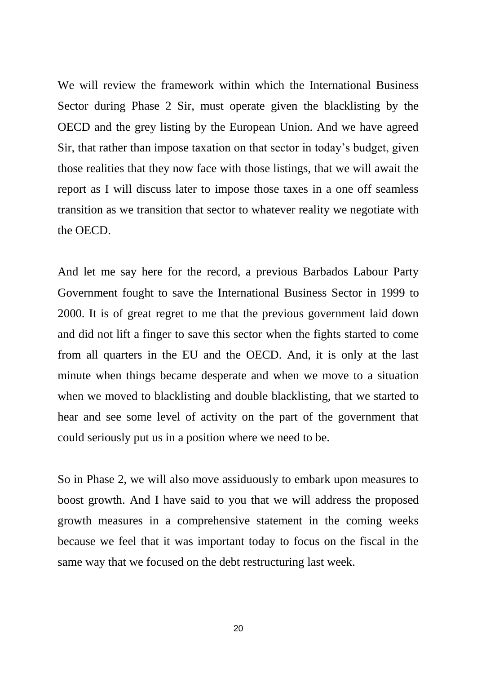We will review the framework within which the International Business Sector during Phase 2 Sir, must operate given the blacklisting by the OECD and the grey listing by the European Union. And we have agreed Sir, that rather than impose taxation on that sector in today's budget, given those realities that they now face with those listings, that we will await the report as I will discuss later to impose those taxes in a one off seamless transition as we transition that sector to whatever reality we negotiate with the OECD.

And let me say here for the record, a previous Barbados Labour Party Government fought to save the International Business Sector in 1999 to 2000. It is of great regret to me that the previous government laid down and did not lift a finger to save this sector when the fights started to come from all quarters in the EU and the OECD. And, it is only at the last minute when things became desperate and when we move to a situation when we moved to blacklisting and double blacklisting, that we started to hear and see some level of activity on the part of the government that could seriously put us in a position where we need to be.

So in Phase 2, we will also move assiduously to embark upon measures to boost growth. And I have said to you that we will address the proposed growth measures in a comprehensive statement in the coming weeks because we feel that it was important today to focus on the fiscal in the same way that we focused on the debt restructuring last week.

20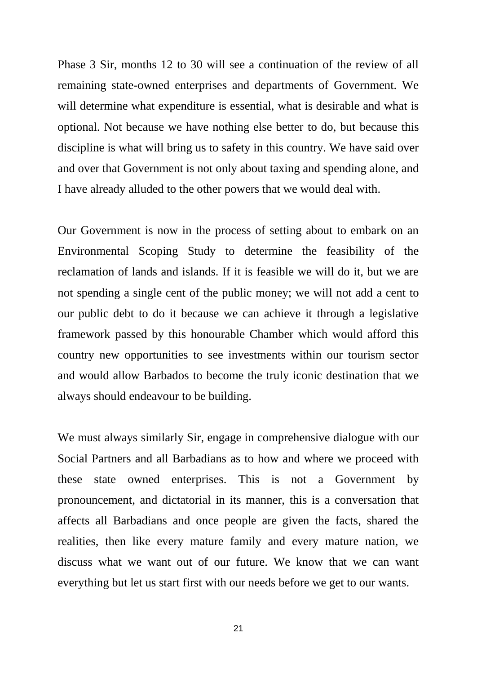Phase 3 Sir, months 12 to 30 will see a continuation of the review of all remaining state-owned enterprises and departments of Government. We will determine what expenditure is essential, what is desirable and what is optional. Not because we have nothing else better to do, but because this discipline is what will bring us to safety in this country. We have said over and over that Government is not only about taxing and spending alone, and I have already alluded to the other powers that we would deal with.

Our Government is now in the process of setting about to embark on an Environmental Scoping Study to determine the feasibility of the reclamation of lands and islands. If it is feasible we will do it, but we are not spending a single cent of the public money; we will not add a cent to our public debt to do it because we can achieve it through a legislative framework passed by this honourable Chamber which would afford this country new opportunities to see investments within our tourism sector and would allow Barbados to become the truly iconic destination that we always should endeavour to be building.

We must always similarly Sir, engage in comprehensive dialogue with our Social Partners and all Barbadians as to how and where we proceed with these state owned enterprises. This is not a Government by pronouncement, and dictatorial in its manner, this is a conversation that affects all Barbadians and once people are given the facts, shared the realities, then like every mature family and every mature nation, we discuss what we want out of our future. We know that we can want everything but let us start first with our needs before we get to our wants.

21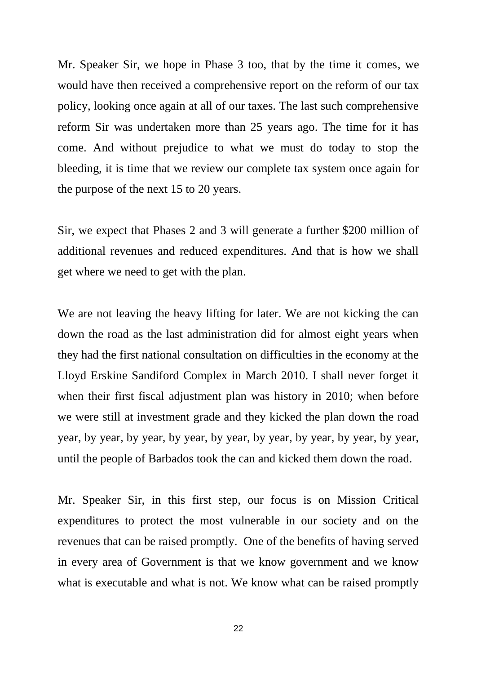Mr. Speaker Sir, we hope in Phase 3 too, that by the time it comes, we would have then received a comprehensive report on the reform of our tax policy, looking once again at all of our taxes. The last such comprehensive reform Sir was undertaken more than 25 years ago. The time for it has come. And without prejudice to what we must do today to stop the bleeding, it is time that we review our complete tax system once again for the purpose of the next 15 to 20 years.

Sir, we expect that Phases 2 and 3 will generate a further \$200 million of additional revenues and reduced expenditures. And that is how we shall get where we need to get with the plan.

We are not leaving the heavy lifting for later. We are not kicking the can down the road as the last administration did for almost eight years when they had the first national consultation on difficulties in the economy at the Lloyd Erskine Sandiford Complex in March 2010. I shall never forget it when their first fiscal adjustment plan was history in 2010; when before we were still at investment grade and they kicked the plan down the road year, by year, by year, by year, by year, by year, by year, by year, by year, until the people of Barbados took the can and kicked them down the road.

Mr. Speaker Sir, in this first step, our focus is on Mission Critical expenditures to protect the most vulnerable in our society and on the revenues that can be raised promptly. One of the benefits of having served in every area of Government is that we know government and we know what is executable and what is not. We know what can be raised promptly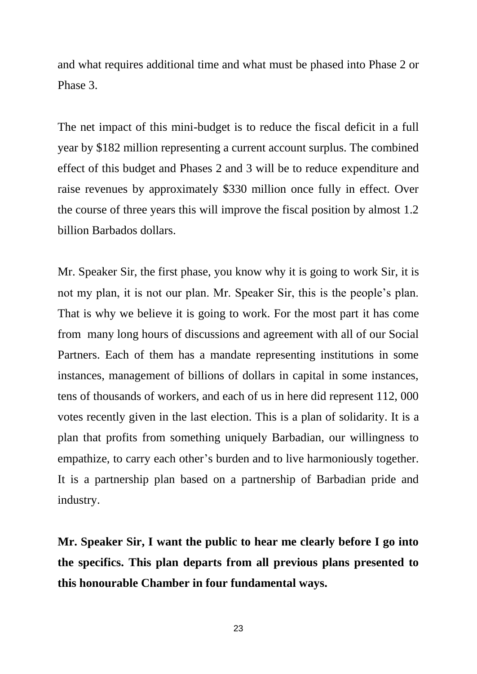and what requires additional time and what must be phased into Phase 2 or Phase 3.

The net impact of this mini-budget is to reduce the fiscal deficit in a full year by \$182 million representing a current account surplus. The combined effect of this budget and Phases 2 and 3 will be to reduce expenditure and raise revenues by approximately \$330 million once fully in effect. Over the course of three years this will improve the fiscal position by almost 1.2 billion Barbados dollars.

Mr. Speaker Sir, the first phase, you know why it is going to work Sir, it is not my plan, it is not our plan. Mr. Speaker Sir, this is the people's plan. That is why we believe it is going to work. For the most part it has come from many long hours of discussions and agreement with all of our Social Partners. Each of them has a mandate representing institutions in some instances, management of billions of dollars in capital in some instances, tens of thousands of workers, and each of us in here did represent 112, 000 votes recently given in the last election. This is a plan of solidarity. It is a plan that profits from something uniquely Barbadian, our willingness to empathize, to carry each other's burden and to live harmoniously together. It is a partnership plan based on a partnership of Barbadian pride and industry.

**Mr. Speaker Sir, I want the public to hear me clearly before I go into the specifics. This plan departs from all previous plans presented to this honourable Chamber in four fundamental ways.**

23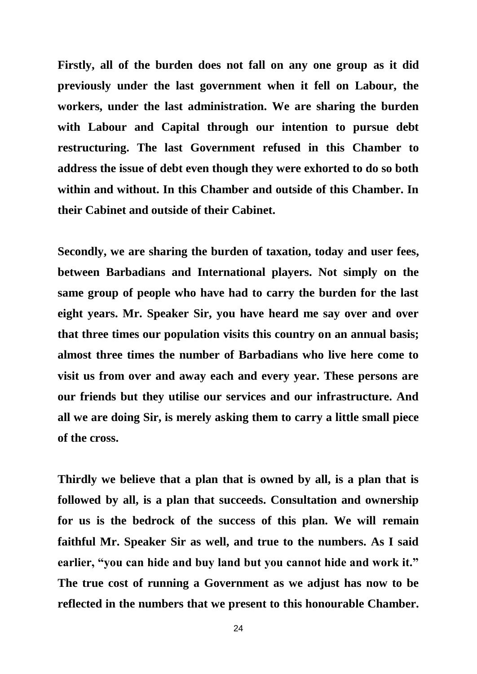**Firstly, all of the burden does not fall on any one group as it did previously under the last government when it fell on Labour, the workers, under the last administration. We are sharing the burden with Labour and Capital through our intention to pursue debt restructuring. The last Government refused in this Chamber to address the issue of debt even though they were exhorted to do so both within and without. In this Chamber and outside of this Chamber. In their Cabinet and outside of their Cabinet.**

**Secondly, we are sharing the burden of taxation, today and user fees, between Barbadians and International players. Not simply on the same group of people who have had to carry the burden for the last eight years. Mr. Speaker Sir, you have heard me say over and over that three times our population visits this country on an annual basis; almost three times the number of Barbadians who live here come to visit us from over and away each and every year. These persons are our friends but they utilise our services and our infrastructure. And all we are doing Sir, is merely asking them to carry a little small piece of the cross.** 

**Thirdly we believe that a plan that is owned by all, is a plan that is followed by all, is a plan that succeeds. Consultation and ownership for us is the bedrock of the success of this plan. We will remain faithful Mr. Speaker Sir as well, and true to the numbers. As I said earlier, "you can hide and buy land but you cannot hide and work it." The true cost of running a Government as we adjust has now to be reflected in the numbers that we present to this honourable Chamber.**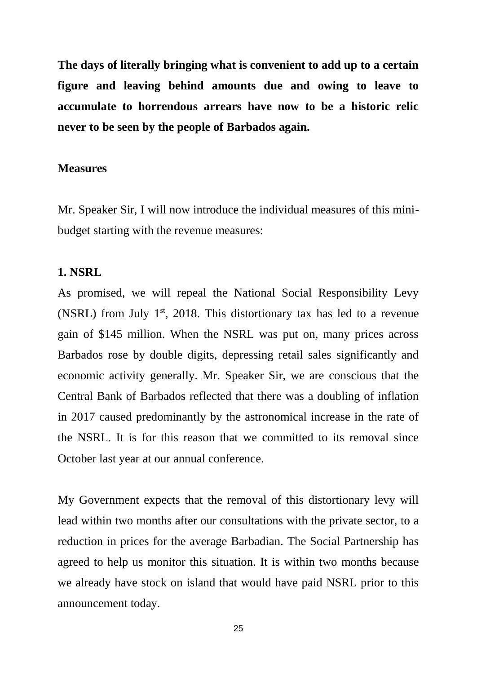**The days of literally bringing what is convenient to add up to a certain figure and leaving behind amounts due and owing to leave to accumulate to horrendous arrears have now to be a historic relic never to be seen by the people of Barbados again.**

### **Measures**

Mr. Speaker Sir, I will now introduce the individual measures of this minibudget starting with the revenue measures:

## **1. NSRL**

As promised, we will repeal the National Social Responsibility Levy (NSRL) from July  $1<sup>st</sup>$ , 2018. This distortionary tax has led to a revenue gain of \$145 million. When the NSRL was put on, many prices across Barbados rose by double digits, depressing retail sales significantly and economic activity generally. Mr. Speaker Sir, we are conscious that the Central Bank of Barbados reflected that there was a doubling of inflation in 2017 caused predominantly by the astronomical increase in the rate of the NSRL. It is for this reason that we committed to its removal since October last year at our annual conference.

My Government expects that the removal of this distortionary levy will lead within two months after our consultations with the private sector, to a reduction in prices for the average Barbadian. The Social Partnership has agreed to help us monitor this situation. It is within two months because we already have stock on island that would have paid NSRL prior to this announcement today.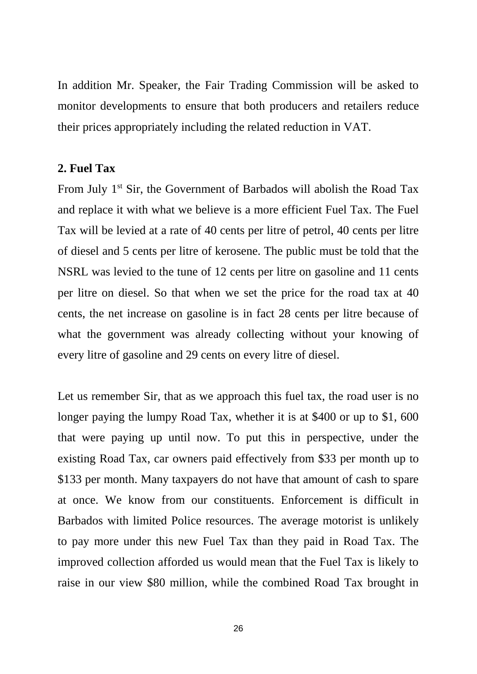In addition Mr. Speaker, the Fair Trading Commission will be asked to monitor developments to ensure that both producers and retailers reduce their prices appropriately including the related reduction in VAT.

## **2. Fuel Tax**

From July 1<sup>st</sup> Sir, the Government of Barbados will abolish the Road Tax and replace it with what we believe is a more efficient Fuel Tax. The Fuel Tax will be levied at a rate of 40 cents per litre of petrol, 40 cents per litre of diesel and 5 cents per litre of kerosene. The public must be told that the NSRL was levied to the tune of 12 cents per litre on gasoline and 11 cents per litre on diesel. So that when we set the price for the road tax at 40 cents, the net increase on gasoline is in fact 28 cents per litre because of what the government was already collecting without your knowing of every litre of gasoline and 29 cents on every litre of diesel.

Let us remember Sir, that as we approach this fuel tax, the road user is no longer paying the lumpy Road Tax, whether it is at \$400 or up to \$1, 600 that were paying up until now. To put this in perspective, under the existing Road Tax, car owners paid effectively from \$33 per month up to \$133 per month. Many taxpayers do not have that amount of cash to spare at once. We know from our constituents. Enforcement is difficult in Barbados with limited Police resources. The average motorist is unlikely to pay more under this new Fuel Tax than they paid in Road Tax. The improved collection afforded us would mean that the Fuel Tax is likely to raise in our view \$80 million, while the combined Road Tax brought in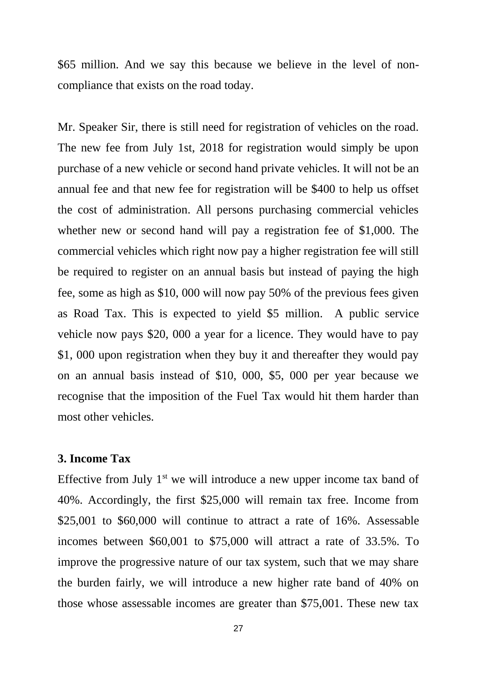\$65 million. And we say this because we believe in the level of noncompliance that exists on the road today.

Mr. Speaker Sir, there is still need for registration of vehicles on the road. The new fee from July 1st, 2018 for registration would simply be upon purchase of a new vehicle or second hand private vehicles. It will not be an annual fee and that new fee for registration will be \$400 to help us offset the cost of administration. All persons purchasing commercial vehicles whether new or second hand will pay a registration fee of \$1,000. The commercial vehicles which right now pay a higher registration fee will still be required to register on an annual basis but instead of paying the high fee, some as high as \$10, 000 will now pay 50% of the previous fees given as Road Tax. This is expected to yield \$5 million. A public service vehicle now pays \$20, 000 a year for a licence. They would have to pay \$1, 000 upon registration when they buy it and thereafter they would pay on an annual basis instead of \$10, 000, \$5, 000 per year because we recognise that the imposition of the Fuel Tax would hit them harder than most other vehicles.

### **3. Income Tax**

Effective from July  $1<sup>st</sup>$  we will introduce a new upper income tax band of 40%. Accordingly, the first \$25,000 will remain tax free. Income from \$25,001 to \$60,000 will continue to attract a rate of 16%. Assessable incomes between \$60,001 to \$75,000 will attract a rate of 33.5%. To improve the progressive nature of our tax system, such that we may share the burden fairly, we will introduce a new higher rate band of 40% on those whose assessable incomes are greater than \$75,001. These new tax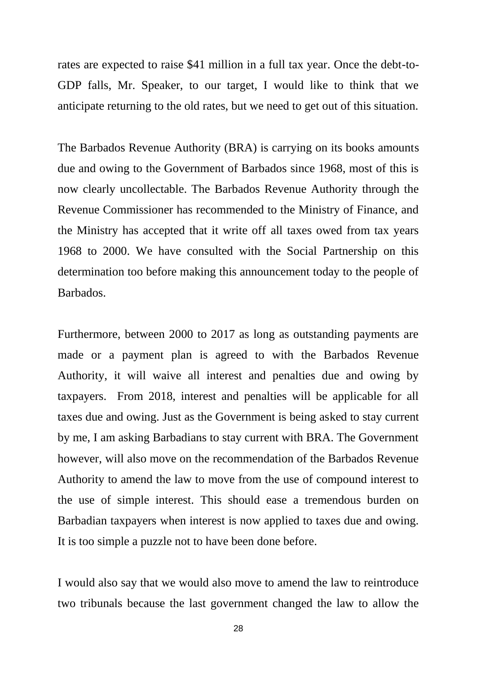rates are expected to raise \$41 million in a full tax year. Once the debt-to-GDP falls, Mr. Speaker, to our target, I would like to think that we anticipate returning to the old rates, but we need to get out of this situation.

The Barbados Revenue Authority (BRA) is carrying on its books amounts due and owing to the Government of Barbados since 1968, most of this is now clearly uncollectable. The Barbados Revenue Authority through the Revenue Commissioner has recommended to the Ministry of Finance, and the Ministry has accepted that it write off all taxes owed from tax years 1968 to 2000. We have consulted with the Social Partnership on this determination too before making this announcement today to the people of Barbados.

Furthermore, between 2000 to 2017 as long as outstanding payments are made or a payment plan is agreed to with the Barbados Revenue Authority, it will waive all interest and penalties due and owing by taxpayers. From 2018, interest and penalties will be applicable for all taxes due and owing. Just as the Government is being asked to stay current by me, I am asking Barbadians to stay current with BRA. The Government however, will also move on the recommendation of the Barbados Revenue Authority to amend the law to move from the use of compound interest to the use of simple interest. This should ease a tremendous burden on Barbadian taxpayers when interest is now applied to taxes due and owing. It is too simple a puzzle not to have been done before.

I would also say that we would also move to amend the law to reintroduce two tribunals because the last government changed the law to allow the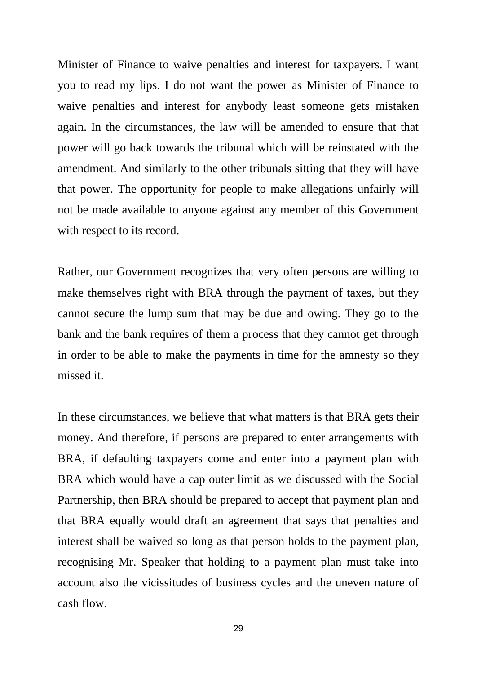Minister of Finance to waive penalties and interest for taxpayers. I want you to read my lips. I do not want the power as Minister of Finance to waive penalties and interest for anybody least someone gets mistaken again. In the circumstances, the law will be amended to ensure that that power will go back towards the tribunal which will be reinstated with the amendment. And similarly to the other tribunals sitting that they will have that power. The opportunity for people to make allegations unfairly will not be made available to anyone against any member of this Government with respect to its record.

Rather, our Government recognizes that very often persons are willing to make themselves right with BRA through the payment of taxes, but they cannot secure the lump sum that may be due and owing. They go to the bank and the bank requires of them a process that they cannot get through in order to be able to make the payments in time for the amnesty so they missed it.

In these circumstances, we believe that what matters is that BRA gets their money. And therefore, if persons are prepared to enter arrangements with BRA, if defaulting taxpayers come and enter into a payment plan with BRA which would have a cap outer limit as we discussed with the Social Partnership, then BRA should be prepared to accept that payment plan and that BRA equally would draft an agreement that says that penalties and interest shall be waived so long as that person holds to the payment plan, recognising Mr. Speaker that holding to a payment plan must take into account also the vicissitudes of business cycles and the uneven nature of cash flow.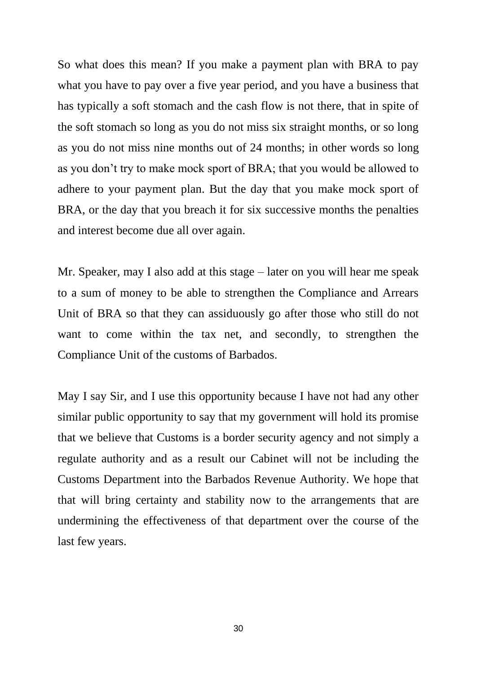So what does this mean? If you make a payment plan with BRA to pay what you have to pay over a five year period, and you have a business that has typically a soft stomach and the cash flow is not there, that in spite of the soft stomach so long as you do not miss six straight months, or so long as you do not miss nine months out of 24 months; in other words so long as you don't try to make mock sport of BRA; that you would be allowed to adhere to your payment plan. But the day that you make mock sport of BRA, or the day that you breach it for six successive months the penalties and interest become due all over again.

Mr. Speaker, may I also add at this stage – later on you will hear me speak to a sum of money to be able to strengthen the Compliance and Arrears Unit of BRA so that they can assiduously go after those who still do not want to come within the tax net, and secondly, to strengthen the Compliance Unit of the customs of Barbados.

May I say Sir, and I use this opportunity because I have not had any other similar public opportunity to say that my government will hold its promise that we believe that Customs is a border security agency and not simply a regulate authority and as a result our Cabinet will not be including the Customs Department into the Barbados Revenue Authority. We hope that that will bring certainty and stability now to the arrangements that are undermining the effectiveness of that department over the course of the last few years.

30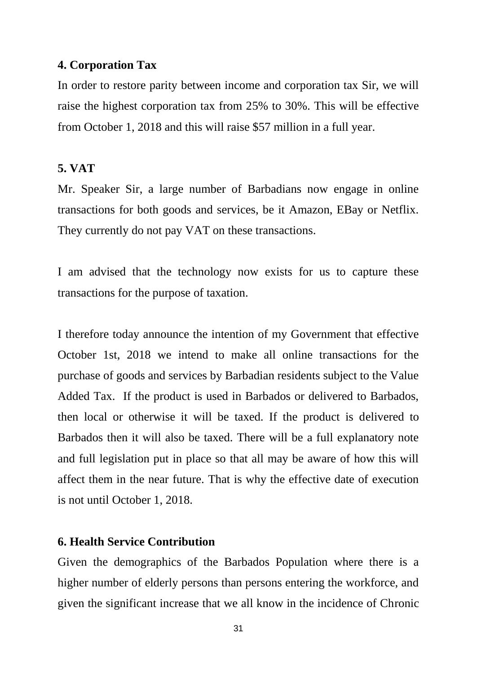# **4. Corporation Tax**

In order to restore parity between income and corporation tax Sir, we will raise the highest corporation tax from 25% to 30%. This will be effective from October 1, 2018 and this will raise \$57 million in a full year.

## **5. VAT**

Mr. Speaker Sir, a large number of Barbadians now engage in online transactions for both goods and services, be it Amazon, EBay or Netflix. They currently do not pay VAT on these transactions.

I am advised that the technology now exists for us to capture these transactions for the purpose of taxation.

I therefore today announce the intention of my Government that effective October 1st, 2018 we intend to make all online transactions for the purchase of goods and services by Barbadian residents subject to the Value Added Tax. If the product is used in Barbados or delivered to Barbados, then local or otherwise it will be taxed. If the product is delivered to Barbados then it will also be taxed. There will be a full explanatory note and full legislation put in place so that all may be aware of how this will affect them in the near future. That is why the effective date of execution is not until October 1, 2018.

# **6. Health Service Contribution**

Given the demographics of the Barbados Population where there is a higher number of elderly persons than persons entering the workforce, and given the significant increase that we all know in the incidence of Chronic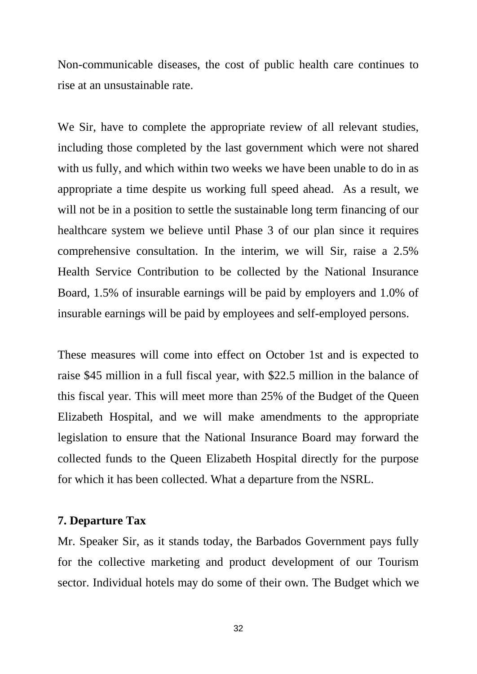Non-communicable diseases, the cost of public health care continues to rise at an unsustainable rate.

We Sir, have to complete the appropriate review of all relevant studies, including those completed by the last government which were not shared with us fully, and which within two weeks we have been unable to do in as appropriate a time despite us working full speed ahead. As a result, we will not be in a position to settle the sustainable long term financing of our healthcare system we believe until Phase 3 of our plan since it requires comprehensive consultation. In the interim, we will Sir, raise a 2.5% Health Service Contribution to be collected by the National Insurance Board, 1.5% of insurable earnings will be paid by employers and 1.0% of insurable earnings will be paid by employees and self-employed persons.

These measures will come into effect on October 1st and is expected to raise \$45 million in a full fiscal year, with \$22.5 million in the balance of this fiscal year. This will meet more than 25% of the Budget of the Queen Elizabeth Hospital, and we will make amendments to the appropriate legislation to ensure that the National Insurance Board may forward the collected funds to the Queen Elizabeth Hospital directly for the purpose for which it has been collected. What a departure from the NSRL.

# **7. Departure Tax**

Mr. Speaker Sir, as it stands today, the Barbados Government pays fully for the collective marketing and product development of our Tourism sector. Individual hotels may do some of their own. The Budget which we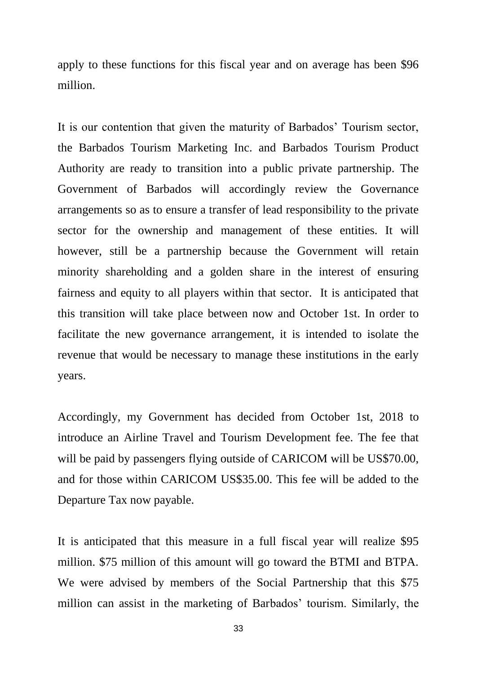apply to these functions for this fiscal year and on average has been \$96 million.

It is our contention that given the maturity of Barbados' Tourism sector, the Barbados Tourism Marketing Inc. and Barbados Tourism Product Authority are ready to transition into a public private partnership. The Government of Barbados will accordingly review the Governance arrangements so as to ensure a transfer of lead responsibility to the private sector for the ownership and management of these entities. It will however, still be a partnership because the Government will retain minority shareholding and a golden share in the interest of ensuring fairness and equity to all players within that sector. It is anticipated that this transition will take place between now and October 1st. In order to facilitate the new governance arrangement, it is intended to isolate the revenue that would be necessary to manage these institutions in the early years.

Accordingly, my Government has decided from October 1st, 2018 to introduce an Airline Travel and Tourism Development fee. The fee that will be paid by passengers flying outside of CARICOM will be US\$70.00, and for those within CARICOM US\$35.00. This fee will be added to the Departure Tax now payable.

It is anticipated that this measure in a full fiscal year will realize \$95 million. \$75 million of this amount will go toward the BTMI and BTPA. We were advised by members of the Social Partnership that this \$75 million can assist in the marketing of Barbados' tourism. Similarly, the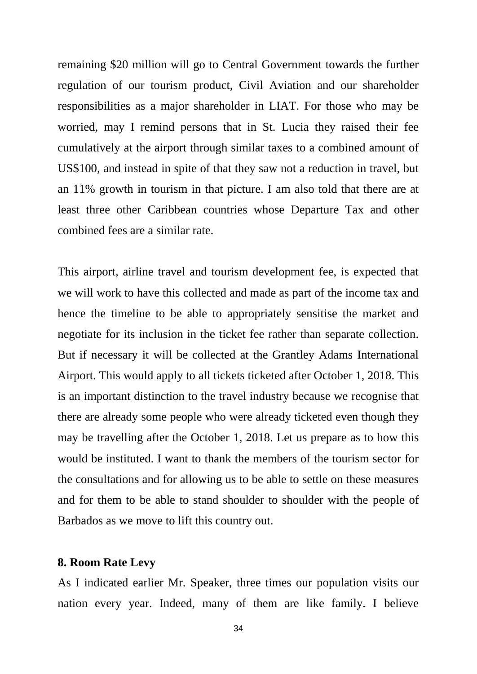remaining \$20 million will go to Central Government towards the further regulation of our tourism product, Civil Aviation and our shareholder responsibilities as a major shareholder in LIAT. For those who may be worried, may I remind persons that in St. Lucia they raised their fee cumulatively at the airport through similar taxes to a combined amount of US\$100, and instead in spite of that they saw not a reduction in travel, but an 11% growth in tourism in that picture. I am also told that there are at least three other Caribbean countries whose Departure Tax and other combined fees are a similar rate.

This airport, airline travel and tourism development fee, is expected that we will work to have this collected and made as part of the income tax and hence the timeline to be able to appropriately sensitise the market and negotiate for its inclusion in the ticket fee rather than separate collection. But if necessary it will be collected at the Grantley Adams International Airport. This would apply to all tickets ticketed after October 1, 2018. This is an important distinction to the travel industry because we recognise that there are already some people who were already ticketed even though they may be travelling after the October 1, 2018. Let us prepare as to how this would be instituted. I want to thank the members of the tourism sector for the consultations and for allowing us to be able to settle on these measures and for them to be able to stand shoulder to shoulder with the people of Barbados as we move to lift this country out.

### **8. Room Rate Levy**

As I indicated earlier Mr. Speaker, three times our population visits our nation every year. Indeed, many of them are like family. I believe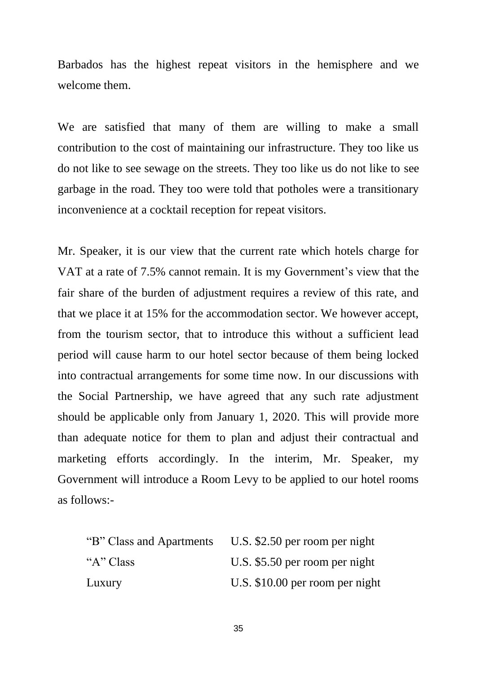Barbados has the highest repeat visitors in the hemisphere and we welcome them.

We are satisfied that many of them are willing to make a small contribution to the cost of maintaining our infrastructure. They too like us do not like to see sewage on the streets. They too like us do not like to see garbage in the road. They too were told that potholes were a transitionary inconvenience at a cocktail reception for repeat visitors.

Mr. Speaker, it is our view that the current rate which hotels charge for VAT at a rate of 7.5% cannot remain. It is my Government's view that the fair share of the burden of adjustment requires a review of this rate, and that we place it at 15% for the accommodation sector. We however accept, from the tourism sector, that to introduce this without a sufficient lead period will cause harm to our hotel sector because of them being locked into contractual arrangements for some time now. In our discussions with the Social Partnership, we have agreed that any such rate adjustment should be applicable only from January 1, 2020. This will provide more than adequate notice for them to plan and adjust their contractual and marketing efforts accordingly. In the interim, Mr. Speaker, my Government will introduce a Room Levy to be applied to our hotel rooms as follows:-

| "B" Class and Apartments | U.S. $$2.50$ per room per night |
|--------------------------|---------------------------------|
| "A" Class                | U.S. \$5.50 per room per night  |
| Luxury                   | U.S. \$10.00 per room per night |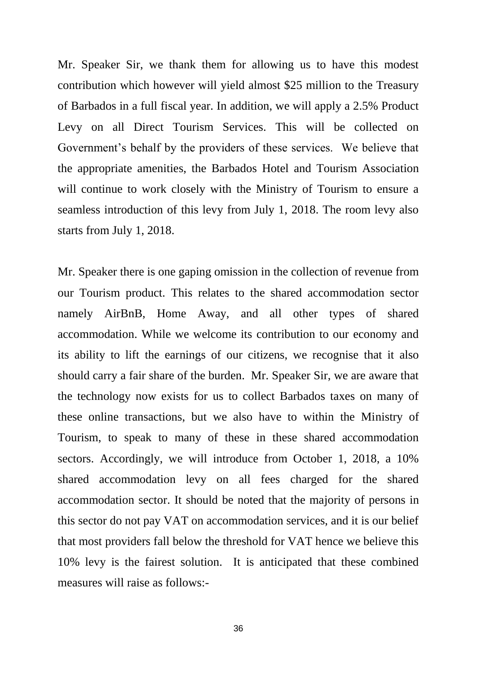Mr. Speaker Sir, we thank them for allowing us to have this modest contribution which however will yield almost \$25 million to the Treasury of Barbados in a full fiscal year. In addition, we will apply a 2.5% Product Levy on all Direct Tourism Services. This will be collected on Government's behalf by the providers of these services. We believe that the appropriate amenities, the Barbados Hotel and Tourism Association will continue to work closely with the Ministry of Tourism to ensure a seamless introduction of this levy from July 1, 2018. The room levy also starts from July 1, 2018.

Mr. Speaker there is one gaping omission in the collection of revenue from our Tourism product. This relates to the shared accommodation sector namely AirBnB, Home Away, and all other types of shared accommodation. While we welcome its contribution to our economy and its ability to lift the earnings of our citizens, we recognise that it also should carry a fair share of the burden. Mr. Speaker Sir, we are aware that the technology now exists for us to collect Barbados taxes on many of these online transactions, but we also have to within the Ministry of Tourism, to speak to many of these in these shared accommodation sectors. Accordingly, we will introduce from October 1, 2018, a 10% shared accommodation levy on all fees charged for the shared accommodation sector. It should be noted that the majority of persons in this sector do not pay VAT on accommodation services, and it is our belief that most providers fall below the threshold for VAT hence we believe this 10% levy is the fairest solution. It is anticipated that these combined measures will raise as follows:-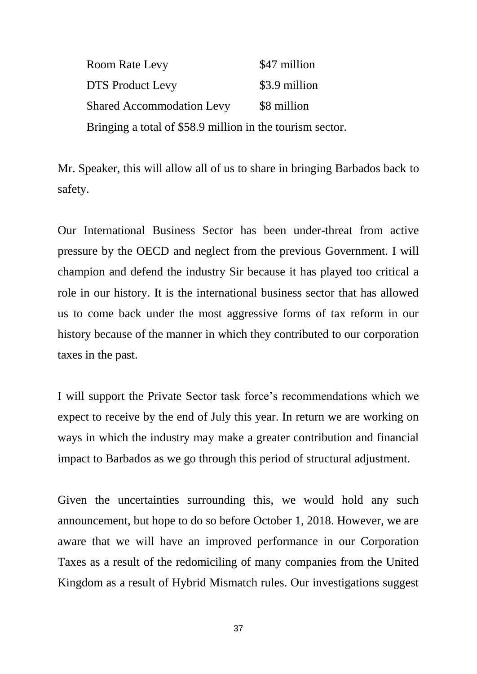Room Rate Levy \$47 million DTS Product Levy \$3.9 million Shared Accommodation Levy \$8 million Bringing a total of \$58.9 million in the tourism sector.

Mr. Speaker, this will allow all of us to share in bringing Barbados back to safety.

Our International Business Sector has been under-threat from active pressure by the OECD and neglect from the previous Government. I will champion and defend the industry Sir because it has played too critical a role in our history. It is the international business sector that has allowed us to come back under the most aggressive forms of tax reform in our history because of the manner in which they contributed to our corporation taxes in the past.

I will support the Private Sector task force's recommendations which we expect to receive by the end of July this year. In return we are working on ways in which the industry may make a greater contribution and financial impact to Barbados as we go through this period of structural adjustment.

Given the uncertainties surrounding this, we would hold any such announcement, but hope to do so before October 1, 2018. However, we are aware that we will have an improved performance in our Corporation Taxes as a result of the redomiciling of many companies from the United Kingdom as a result of Hybrid Mismatch rules. Our investigations suggest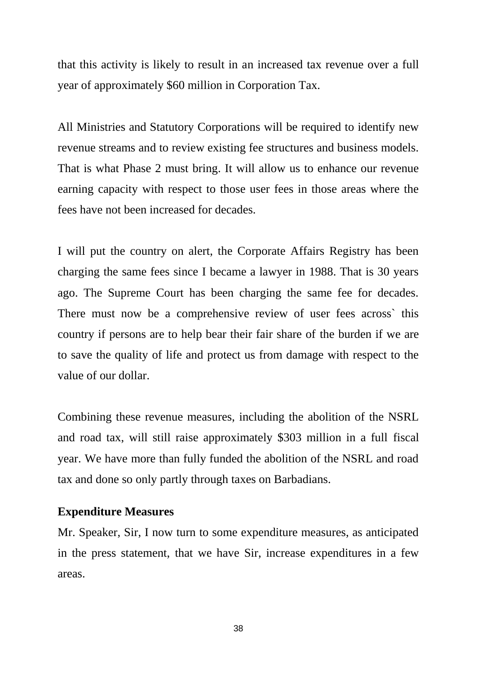that this activity is likely to result in an increased tax revenue over a full year of approximately \$60 million in Corporation Tax.

All Ministries and Statutory Corporations will be required to identify new revenue streams and to review existing fee structures and business models. That is what Phase 2 must bring. It will allow us to enhance our revenue earning capacity with respect to those user fees in those areas where the fees have not been increased for decades.

I will put the country on alert, the Corporate Affairs Registry has been charging the same fees since I became a lawyer in 1988. That is 30 years ago. The Supreme Court has been charging the same fee for decades. There must now be a comprehensive review of user fees across` this country if persons are to help bear their fair share of the burden if we are to save the quality of life and protect us from damage with respect to the value of our dollar.

Combining these revenue measures, including the abolition of the NSRL and road tax, will still raise approximately \$303 million in a full fiscal year. We have more than fully funded the abolition of the NSRL and road tax and done so only partly through taxes on Barbadians.

## **Expenditure Measures**

Mr. Speaker, Sir, I now turn to some expenditure measures, as anticipated in the press statement, that we have Sir, increase expenditures in a few areas.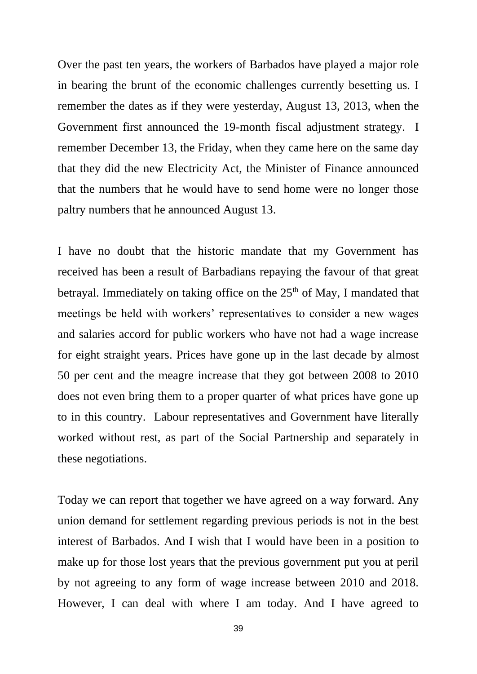Over the past ten years, the workers of Barbados have played a major role in bearing the brunt of the economic challenges currently besetting us. I remember the dates as if they were yesterday, August 13, 2013, when the Government first announced the 19-month fiscal adjustment strategy. I remember December 13, the Friday, when they came here on the same day that they did the new Electricity Act, the Minister of Finance announced that the numbers that he would have to send home were no longer those paltry numbers that he announced August 13.

I have no doubt that the historic mandate that my Government has received has been a result of Barbadians repaying the favour of that great betrayal. Immediately on taking office on the  $25<sup>th</sup>$  of May, I mandated that meetings be held with workers' representatives to consider a new wages and salaries accord for public workers who have not had a wage increase for eight straight years. Prices have gone up in the last decade by almost 50 per cent and the meagre increase that they got between 2008 to 2010 does not even bring them to a proper quarter of what prices have gone up to in this country. Labour representatives and Government have literally worked without rest, as part of the Social Partnership and separately in these negotiations.

Today we can report that together we have agreed on a way forward. Any union demand for settlement regarding previous periods is not in the best interest of Barbados. And I wish that I would have been in a position to make up for those lost years that the previous government put you at peril by not agreeing to any form of wage increase between 2010 and 2018. However, I can deal with where I am today. And I have agreed to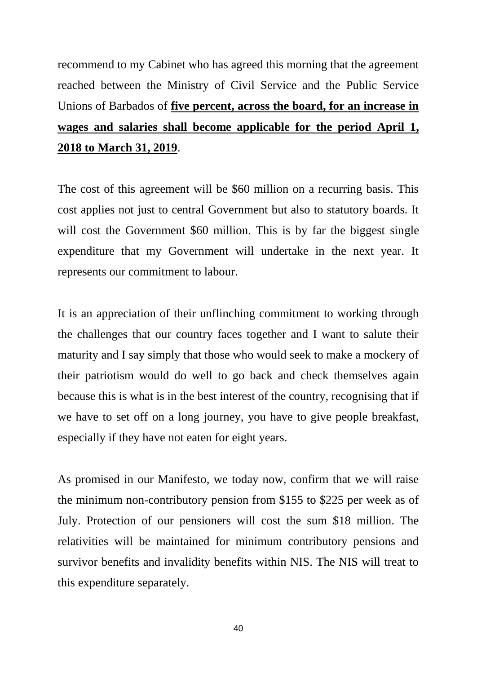recommend to my Cabinet who has agreed this morning that the agreement reached between the Ministry of Civil Service and the Public Service Unions of Barbados of **five percent, across the board, for an increase in wages and salaries shall become applicable for the period April 1, 2018 to March 31, 2019**.

The cost of this agreement will be \$60 million on a recurring basis. This cost applies not just to central Government but also to statutory boards. It will cost the Government \$60 million. This is by far the biggest single expenditure that my Government will undertake in the next year. It represents our commitment to labour.

It is an appreciation of their unflinching commitment to working through the challenges that our country faces together and I want to salute their maturity and I say simply that those who would seek to make a mockery of their patriotism would do well to go back and check themselves again because this is what is in the best interest of the country, recognising that if we have to set off on a long journey, you have to give people breakfast, especially if they have not eaten for eight years.

As promised in our Manifesto, we today now, confirm that we will raise the minimum non-contributory pension from \$155 to \$225 per week as of July. Protection of our pensioners will cost the sum \$18 million. The relativities will be maintained for minimum contributory pensions and survivor benefits and invalidity benefits within NIS. The NIS will treat to this expenditure separately.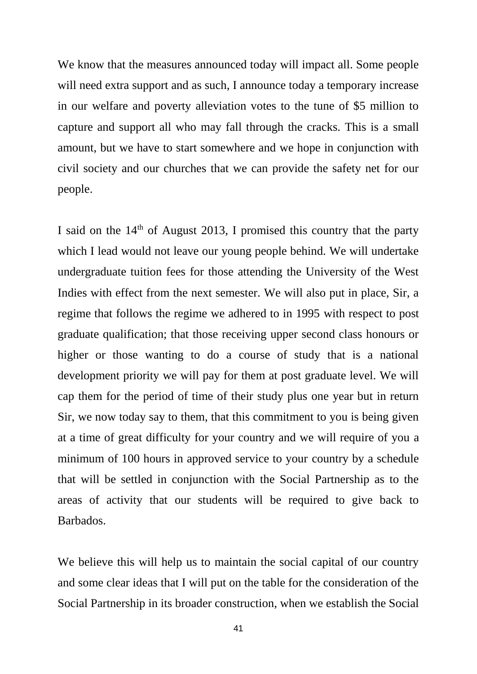We know that the measures announced today will impact all. Some people will need extra support and as such, I announce today a temporary increase in our welfare and poverty alleviation votes to the tune of \$5 million to capture and support all who may fall through the cracks. This is a small amount, but we have to start somewhere and we hope in conjunction with civil society and our churches that we can provide the safety net for our people.

I said on the  $14<sup>th</sup>$  of August 2013, I promised this country that the party which I lead would not leave our young people behind. We will undertake undergraduate tuition fees for those attending the University of the West Indies with effect from the next semester. We will also put in place, Sir, a regime that follows the regime we adhered to in 1995 with respect to post graduate qualification; that those receiving upper second class honours or higher or those wanting to do a course of study that is a national development priority we will pay for them at post graduate level. We will cap them for the period of time of their study plus one year but in return Sir, we now today say to them, that this commitment to you is being given at a time of great difficulty for your country and we will require of you a minimum of 100 hours in approved service to your country by a schedule that will be settled in conjunction with the Social Partnership as to the areas of activity that our students will be required to give back to Barbados.

We believe this will help us to maintain the social capital of our country and some clear ideas that I will put on the table for the consideration of the Social Partnership in its broader construction, when we establish the Social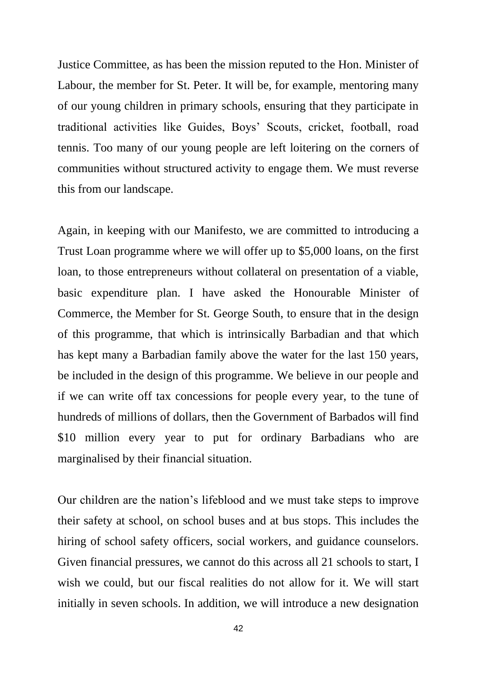Justice Committee, as has been the mission reputed to the Hon. Minister of Labour, the member for St. Peter. It will be, for example, mentoring many of our young children in primary schools, ensuring that they participate in traditional activities like Guides, Boys' Scouts, cricket, football, road tennis. Too many of our young people are left loitering on the corners of communities without structured activity to engage them. We must reverse this from our landscape.

Again, in keeping with our Manifesto, we are committed to introducing a Trust Loan programme where we will offer up to \$5,000 loans, on the first loan, to those entrepreneurs without collateral on presentation of a viable, basic expenditure plan. I have asked the Honourable Minister of Commerce, the Member for St. George South, to ensure that in the design of this programme, that which is intrinsically Barbadian and that which has kept many a Barbadian family above the water for the last 150 years, be included in the design of this programme. We believe in our people and if we can write off tax concessions for people every year, to the tune of hundreds of millions of dollars, then the Government of Barbados will find \$10 million every year to put for ordinary Barbadians who are marginalised by their financial situation.

Our children are the nation's lifeblood and we must take steps to improve their safety at school, on school buses and at bus stops. This includes the hiring of school safety officers, social workers, and guidance counselors. Given financial pressures, we cannot do this across all 21 schools to start, I wish we could, but our fiscal realities do not allow for it. We will start initially in seven schools. In addition, we will introduce a new designation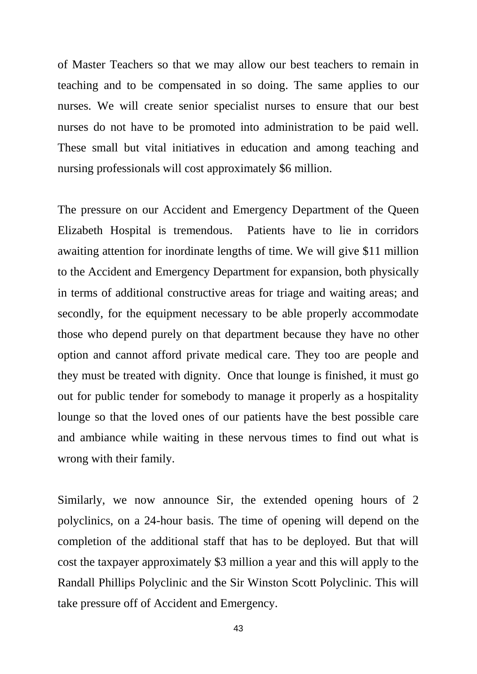of Master Teachers so that we may allow our best teachers to remain in teaching and to be compensated in so doing. The same applies to our nurses. We will create senior specialist nurses to ensure that our best nurses do not have to be promoted into administration to be paid well. These small but vital initiatives in education and among teaching and nursing professionals will cost approximately \$6 million.

The pressure on our Accident and Emergency Department of the Queen Elizabeth Hospital is tremendous. Patients have to lie in corridors awaiting attention for inordinate lengths of time. We will give \$11 million to the Accident and Emergency Department for expansion, both physically in terms of additional constructive areas for triage and waiting areas; and secondly, for the equipment necessary to be able properly accommodate those who depend purely on that department because they have no other option and cannot afford private medical care. They too are people and they must be treated with dignity. Once that lounge is finished, it must go out for public tender for somebody to manage it properly as a hospitality lounge so that the loved ones of our patients have the best possible care and ambiance while waiting in these nervous times to find out what is wrong with their family.

Similarly, we now announce Sir, the extended opening hours of 2 polyclinics, on a 24-hour basis. The time of opening will depend on the completion of the additional staff that has to be deployed. But that will cost the taxpayer approximately \$3 million a year and this will apply to the Randall Phillips Polyclinic and the Sir Winston Scott Polyclinic. This will take pressure off of Accident and Emergency.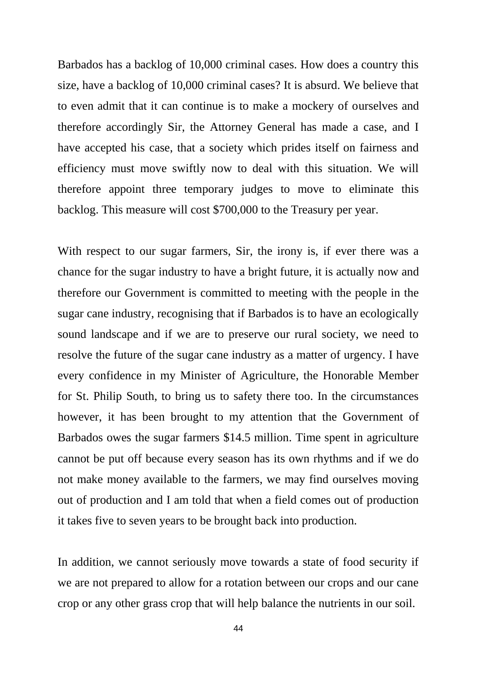Barbados has a backlog of 10,000 criminal cases. How does a country this size, have a backlog of 10,000 criminal cases? It is absurd. We believe that to even admit that it can continue is to make a mockery of ourselves and therefore accordingly Sir, the Attorney General has made a case, and I have accepted his case, that a society which prides itself on fairness and efficiency must move swiftly now to deal with this situation. We will therefore appoint three temporary judges to move to eliminate this backlog. This measure will cost \$700,000 to the Treasury per year.

With respect to our sugar farmers, Sir, the irony is, if ever there was a chance for the sugar industry to have a bright future, it is actually now and therefore our Government is committed to meeting with the people in the sugar cane industry, recognising that if Barbados is to have an ecologically sound landscape and if we are to preserve our rural society, we need to resolve the future of the sugar cane industry as a matter of urgency. I have every confidence in my Minister of Agriculture, the Honorable Member for St. Philip South, to bring us to safety there too. In the circumstances however, it has been brought to my attention that the Government of Barbados owes the sugar farmers \$14.5 million. Time spent in agriculture cannot be put off because every season has its own rhythms and if we do not make money available to the farmers, we may find ourselves moving out of production and I am told that when a field comes out of production it takes five to seven years to be brought back into production.

In addition, we cannot seriously move towards a state of food security if we are not prepared to allow for a rotation between our crops and our cane crop or any other grass crop that will help balance the nutrients in our soil.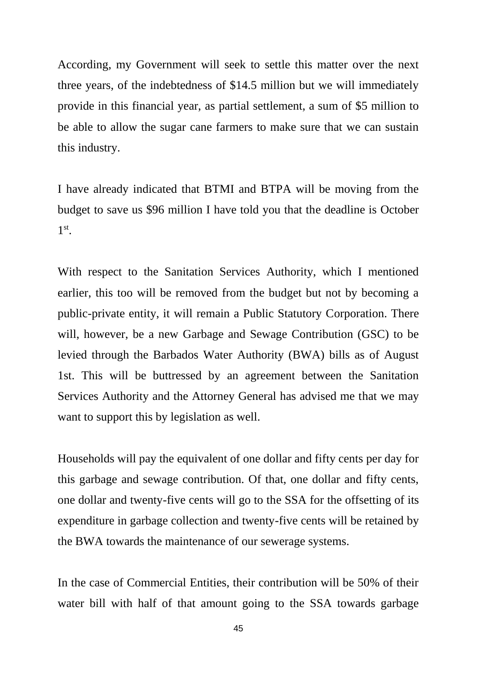According, my Government will seek to settle this matter over the next three years, of the indebtedness of \$14.5 million but we will immediately provide in this financial year, as partial settlement, a sum of \$5 million to be able to allow the sugar cane farmers to make sure that we can sustain this industry.

I have already indicated that BTMI and BTPA will be moving from the budget to save us \$96 million I have told you that the deadline is October 1 st .

With respect to the Sanitation Services Authority, which I mentioned earlier, this too will be removed from the budget but not by becoming a public-private entity, it will remain a Public Statutory Corporation. There will, however, be a new Garbage and Sewage Contribution (GSC) to be levied through the Barbados Water Authority (BWA) bills as of August 1st. This will be buttressed by an agreement between the Sanitation Services Authority and the Attorney General has advised me that we may want to support this by legislation as well.

Households will pay the equivalent of one dollar and fifty cents per day for this garbage and sewage contribution. Of that, one dollar and fifty cents, one dollar and twenty-five cents will go to the SSA for the offsetting of its expenditure in garbage collection and twenty-five cents will be retained by the BWA towards the maintenance of our sewerage systems.

In the case of Commercial Entities, their contribution will be 50% of their water bill with half of that amount going to the SSA towards garbage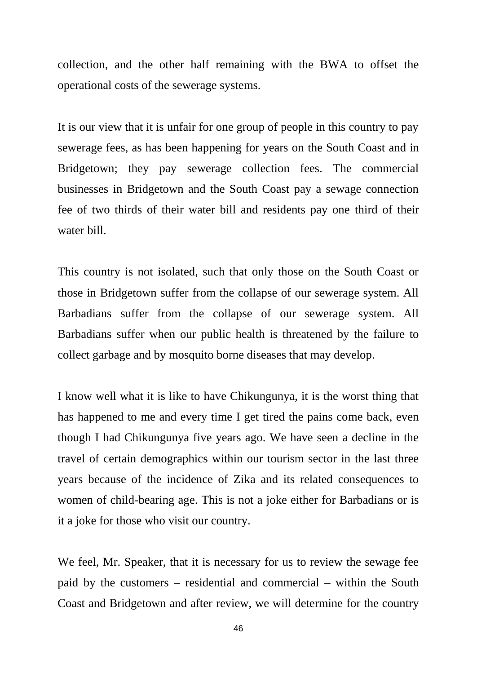collection, and the other half remaining with the BWA to offset the operational costs of the sewerage systems.

It is our view that it is unfair for one group of people in this country to pay sewerage fees, as has been happening for years on the South Coast and in Bridgetown; they pay sewerage collection fees. The commercial businesses in Bridgetown and the South Coast pay a sewage connection fee of two thirds of their water bill and residents pay one third of their water bill.

This country is not isolated, such that only those on the South Coast or those in Bridgetown suffer from the collapse of our sewerage system. All Barbadians suffer from the collapse of our sewerage system. All Barbadians suffer when our public health is threatened by the failure to collect garbage and by mosquito borne diseases that may develop.

I know well what it is like to have Chikungunya, it is the worst thing that has happened to me and every time I get tired the pains come back, even though I had Chikungunya five years ago. We have seen a decline in the travel of certain demographics within our tourism sector in the last three years because of the incidence of Zika and its related consequences to women of child-bearing age. This is not a joke either for Barbadians or is it a joke for those who visit our country.

We feel, Mr. Speaker, that it is necessary for us to review the sewage fee paid by the customers – residential and commercial – within the South Coast and Bridgetown and after review, we will determine for the country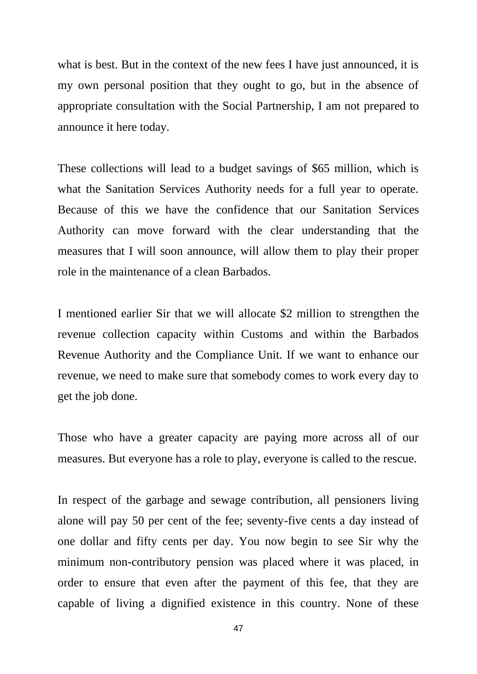what is best. But in the context of the new fees I have just announced, it is my own personal position that they ought to go, but in the absence of appropriate consultation with the Social Partnership, I am not prepared to announce it here today.

These collections will lead to a budget savings of \$65 million, which is what the Sanitation Services Authority needs for a full year to operate. Because of this we have the confidence that our Sanitation Services Authority can move forward with the clear understanding that the measures that I will soon announce, will allow them to play their proper role in the maintenance of a clean Barbados.

I mentioned earlier Sir that we will allocate \$2 million to strengthen the revenue collection capacity within Customs and within the Barbados Revenue Authority and the Compliance Unit. If we want to enhance our revenue, we need to make sure that somebody comes to work every day to get the job done.

Those who have a greater capacity are paying more across all of our measures. But everyone has a role to play, everyone is called to the rescue.

In respect of the garbage and sewage contribution, all pensioners living alone will pay 50 per cent of the fee; seventy-five cents a day instead of one dollar and fifty cents per day. You now begin to see Sir why the minimum non-contributory pension was placed where it was placed, in order to ensure that even after the payment of this fee, that they are capable of living a dignified existence in this country. None of these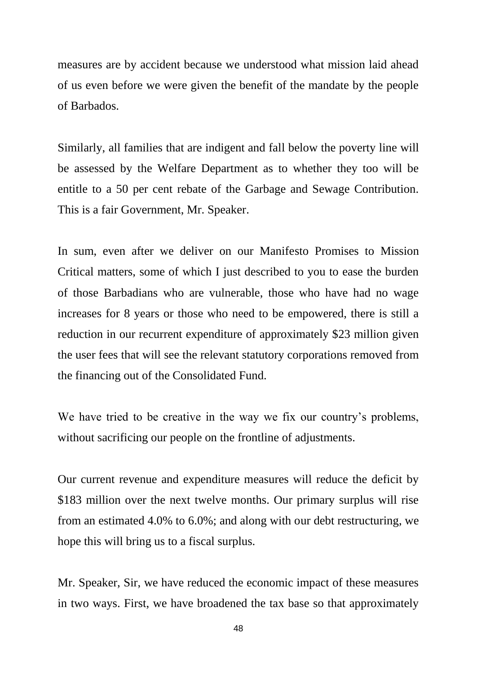measures are by accident because we understood what mission laid ahead of us even before we were given the benefit of the mandate by the people of Barbados.

Similarly, all families that are indigent and fall below the poverty line will be assessed by the Welfare Department as to whether they too will be entitle to a 50 per cent rebate of the Garbage and Sewage Contribution. This is a fair Government, Mr. Speaker.

In sum, even after we deliver on our Manifesto Promises to Mission Critical matters, some of which I just described to you to ease the burden of those Barbadians who are vulnerable, those who have had no wage increases for 8 years or those who need to be empowered, there is still a reduction in our recurrent expenditure of approximately \$23 million given the user fees that will see the relevant statutory corporations removed from the financing out of the Consolidated Fund.

We have tried to be creative in the way we fix our country's problems, without sacrificing our people on the frontline of adjustments.

Our current revenue and expenditure measures will reduce the deficit by \$183 million over the next twelve months. Our primary surplus will rise from an estimated 4.0% to 6.0%; and along with our debt restructuring, we hope this will bring us to a fiscal surplus.

Mr. Speaker, Sir, we have reduced the economic impact of these measures in two ways. First, we have broadened the tax base so that approximately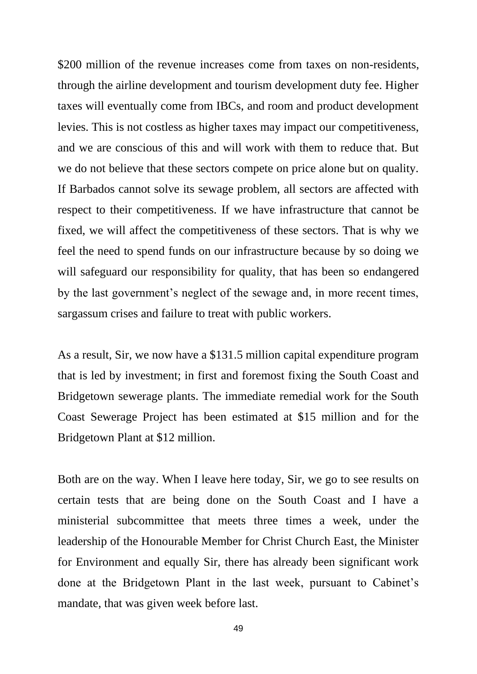\$200 million of the revenue increases come from taxes on non-residents, through the airline development and tourism development duty fee. Higher taxes will eventually come from IBCs, and room and product development levies. This is not costless as higher taxes may impact our competitiveness, and we are conscious of this and will work with them to reduce that. But we do not believe that these sectors compete on price alone but on quality. If Barbados cannot solve its sewage problem, all sectors are affected with respect to their competitiveness. If we have infrastructure that cannot be fixed, we will affect the competitiveness of these sectors. That is why we feel the need to spend funds on our infrastructure because by so doing we will safeguard our responsibility for quality, that has been so endangered by the last government's neglect of the sewage and, in more recent times, sargassum crises and failure to treat with public workers.

As a result, Sir, we now have a \$131.5 million capital expenditure program that is led by investment; in first and foremost fixing the South Coast and Bridgetown sewerage plants. The immediate remedial work for the South Coast Sewerage Project has been estimated at \$15 million and for the Bridgetown Plant at \$12 million.

Both are on the way. When I leave here today, Sir, we go to see results on certain tests that are being done on the South Coast and I have a ministerial subcommittee that meets three times a week, under the leadership of the Honourable Member for Christ Church East, the Minister for Environment and equally Sir, there has already been significant work done at the Bridgetown Plant in the last week, pursuant to Cabinet's mandate, that was given week before last.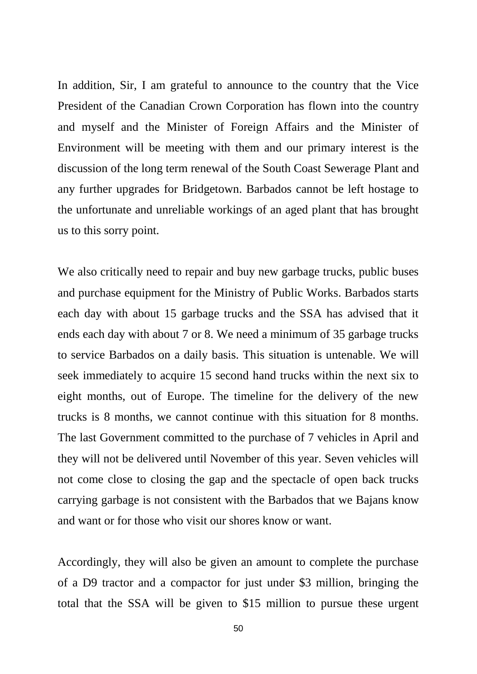In addition, Sir, I am grateful to announce to the country that the Vice President of the Canadian Crown Corporation has flown into the country and myself and the Minister of Foreign Affairs and the Minister of Environment will be meeting with them and our primary interest is the discussion of the long term renewal of the South Coast Sewerage Plant and any further upgrades for Bridgetown. Barbados cannot be left hostage to the unfortunate and unreliable workings of an aged plant that has brought us to this sorry point.

We also critically need to repair and buy new garbage trucks, public buses and purchase equipment for the Ministry of Public Works. Barbados starts each day with about 15 garbage trucks and the SSA has advised that it ends each day with about 7 or 8. We need a minimum of 35 garbage trucks to service Barbados on a daily basis. This situation is untenable. We will seek immediately to acquire 15 second hand trucks within the next six to eight months, out of Europe. The timeline for the delivery of the new trucks is 8 months, we cannot continue with this situation for 8 months. The last Government committed to the purchase of 7 vehicles in April and they will not be delivered until November of this year. Seven vehicles will not come close to closing the gap and the spectacle of open back trucks carrying garbage is not consistent with the Barbados that we Bajans know and want or for those who visit our shores know or want.

Accordingly, they will also be given an amount to complete the purchase of a D9 tractor and a compactor for just under \$3 million, bringing the total that the SSA will be given to \$15 million to pursue these urgent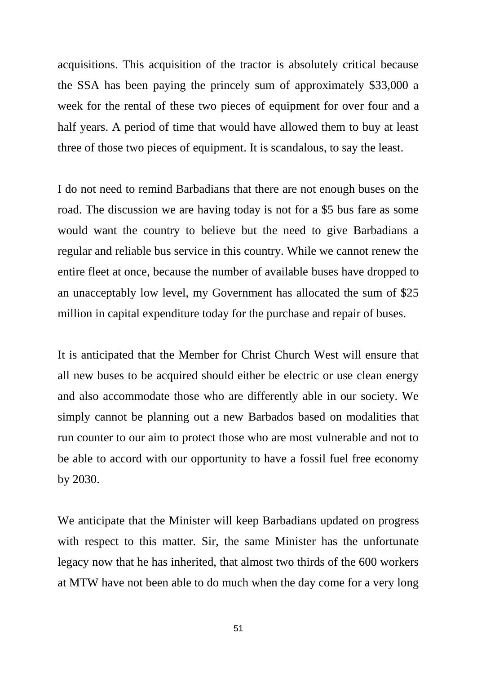acquisitions. This acquisition of the tractor is absolutely critical because the SSA has been paying the princely sum of approximately \$33,000 a week for the rental of these two pieces of equipment for over four and a half years. A period of time that would have allowed them to buy at least three of those two pieces of equipment. It is scandalous, to say the least.

I do not need to remind Barbadians that there are not enough buses on the road. The discussion we are having today is not for a \$5 bus fare as some would want the country to believe but the need to give Barbadians a regular and reliable bus service in this country. While we cannot renew the entire fleet at once, because the number of available buses have dropped to an unacceptably low level, my Government has allocated the sum of \$25 million in capital expenditure today for the purchase and repair of buses.

It is anticipated that the Member for Christ Church West will ensure that all new buses to be acquired should either be electric or use clean energy and also accommodate those who are differently able in our society. We simply cannot be planning out a new Barbados based on modalities that run counter to our aim to protect those who are most vulnerable and not to be able to accord with our opportunity to have a fossil fuel free economy by 2030.

We anticipate that the Minister will keep Barbadians updated on progress with respect to this matter. Sir, the same Minister has the unfortunate legacy now that he has inherited, that almost two thirds of the 600 workers at MTW have not been able to do much when the day come for a very long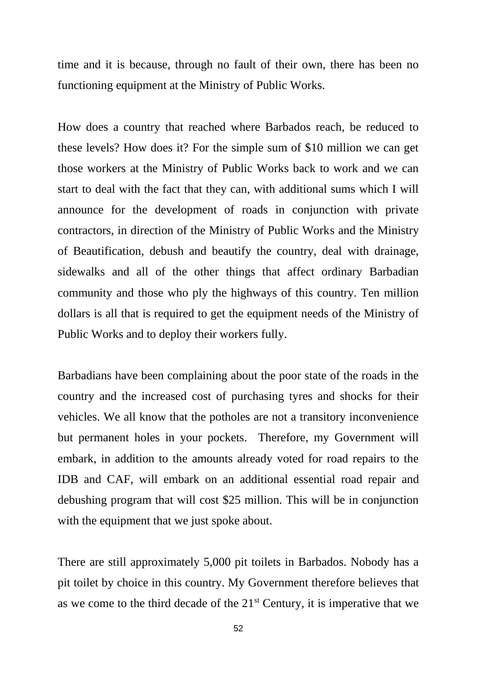time and it is because, through no fault of their own, there has been no functioning equipment at the Ministry of Public Works.

How does a country that reached where Barbados reach, be reduced to these levels? How does it? For the simple sum of \$10 million we can get those workers at the Ministry of Public Works back to work and we can start to deal with the fact that they can, with additional sums which I will announce for the development of roads in conjunction with private contractors, in direction of the Ministry of Public Works and the Ministry of Beautification, debush and beautify the country, deal with drainage, sidewalks and all of the other things that affect ordinary Barbadian community and those who ply the highways of this country. Ten million dollars is all that is required to get the equipment needs of the Ministry of Public Works and to deploy their workers fully.

Barbadians have been complaining about the poor state of the roads in the country and the increased cost of purchasing tyres and shocks for their vehicles. We all know that the potholes are not a transitory inconvenience but permanent holes in your pockets. Therefore, my Government will embark, in addition to the amounts already voted for road repairs to the IDB and CAF, will embark on an additional essential road repair and debushing program that will cost \$25 million. This will be in conjunction with the equipment that we just spoke about.

There are still approximately 5,000 pit toilets in Barbados. Nobody has a pit toilet by choice in this country. My Government therefore believes that as we come to the third decade of the  $21<sup>st</sup>$  Century, it is imperative that we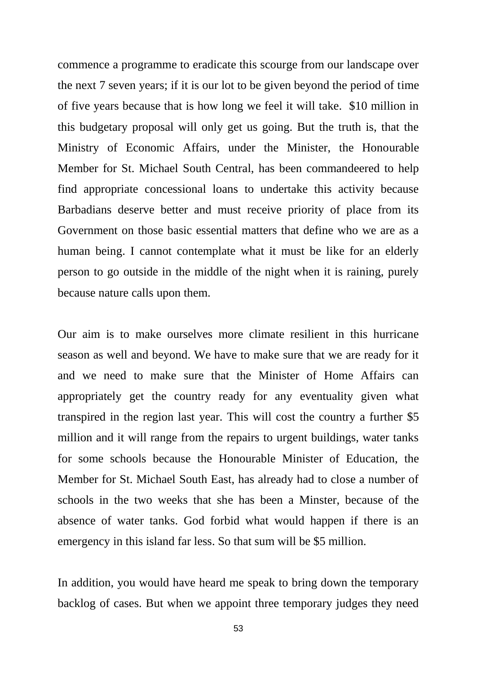commence a programme to eradicate this scourge from our landscape over the next 7 seven years; if it is our lot to be given beyond the period of time of five years because that is how long we feel it will take. \$10 million in this budgetary proposal will only get us going. But the truth is, that the Ministry of Economic Affairs, under the Minister, the Honourable Member for St. Michael South Central, has been commandeered to help find appropriate concessional loans to undertake this activity because Barbadians deserve better and must receive priority of place from its Government on those basic essential matters that define who we are as a human being. I cannot contemplate what it must be like for an elderly person to go outside in the middle of the night when it is raining, purely because nature calls upon them.

Our aim is to make ourselves more climate resilient in this hurricane season as well and beyond. We have to make sure that we are ready for it and we need to make sure that the Minister of Home Affairs can appropriately get the country ready for any eventuality given what transpired in the region last year. This will cost the country a further \$5 million and it will range from the repairs to urgent buildings, water tanks for some schools because the Honourable Minister of Education, the Member for St. Michael South East, has already had to close a number of schools in the two weeks that she has been a Minster, because of the absence of water tanks. God forbid what would happen if there is an emergency in this island far less. So that sum will be \$5 million.

In addition, you would have heard me speak to bring down the temporary backlog of cases. But when we appoint three temporary judges they need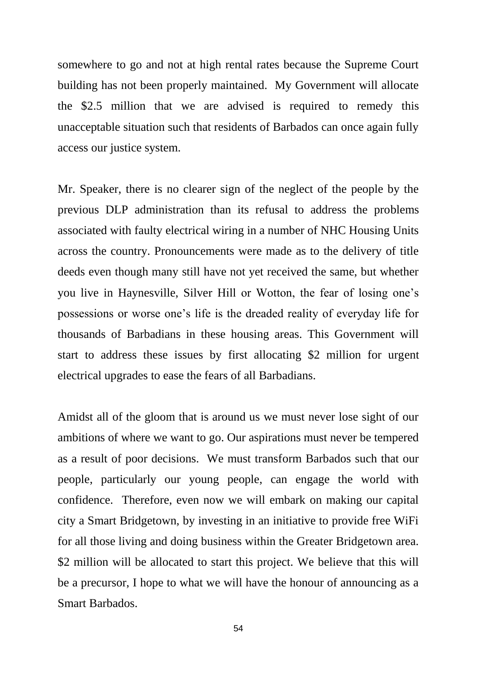somewhere to go and not at high rental rates because the Supreme Court building has not been properly maintained. My Government will allocate the \$2.5 million that we are advised is required to remedy this unacceptable situation such that residents of Barbados can once again fully access our justice system.

Mr. Speaker, there is no clearer sign of the neglect of the people by the previous DLP administration than its refusal to address the problems associated with faulty electrical wiring in a number of NHC Housing Units across the country. Pronouncements were made as to the delivery of title deeds even though many still have not yet received the same, but whether you live in Haynesville, Silver Hill or Wotton, the fear of losing one's possessions or worse one's life is the dreaded reality of everyday life for thousands of Barbadians in these housing areas. This Government will start to address these issues by first allocating \$2 million for urgent electrical upgrades to ease the fears of all Barbadians.

Amidst all of the gloom that is around us we must never lose sight of our ambitions of where we want to go. Our aspirations must never be tempered as a result of poor decisions. We must transform Barbados such that our people, particularly our young people, can engage the world with confidence. Therefore, even now we will embark on making our capital city a Smart Bridgetown, by investing in an initiative to provide free WiFi for all those living and doing business within the Greater Bridgetown area. \$2 million will be allocated to start this project. We believe that this will be a precursor, I hope to what we will have the honour of announcing as a Smart Barbados.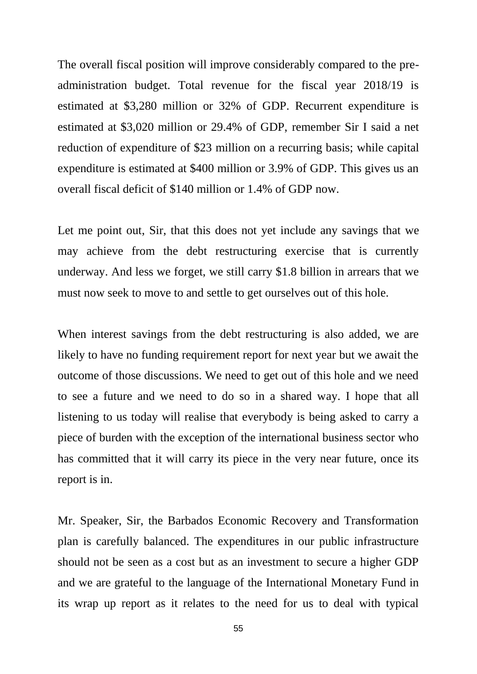The overall fiscal position will improve considerably compared to the preadministration budget. Total revenue for the fiscal year 2018/19 is estimated at \$3,280 million or 32% of GDP. Recurrent expenditure is estimated at \$3,020 million or 29.4% of GDP, remember Sir I said a net reduction of expenditure of \$23 million on a recurring basis; while capital expenditure is estimated at \$400 million or 3.9% of GDP. This gives us an overall fiscal deficit of \$140 million or 1.4% of GDP now.

Let me point out, Sir, that this does not yet include any savings that we may achieve from the debt restructuring exercise that is currently underway. And less we forget, we still carry \$1.8 billion in arrears that we must now seek to move to and settle to get ourselves out of this hole.

When interest savings from the debt restructuring is also added, we are likely to have no funding requirement report for next year but we await the outcome of those discussions. We need to get out of this hole and we need to see a future and we need to do so in a shared way. I hope that all listening to us today will realise that everybody is being asked to carry a piece of burden with the exception of the international business sector who has committed that it will carry its piece in the very near future, once its report is in.

Mr. Speaker, Sir, the Barbados Economic Recovery and Transformation plan is carefully balanced. The expenditures in our public infrastructure should not be seen as a cost but as an investment to secure a higher GDP and we are grateful to the language of the International Monetary Fund in its wrap up report as it relates to the need for us to deal with typical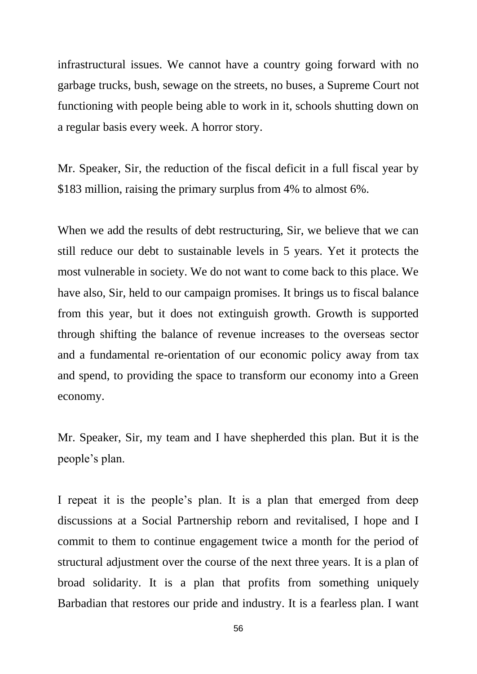infrastructural issues. We cannot have a country going forward with no garbage trucks, bush, sewage on the streets, no buses, a Supreme Court not functioning with people being able to work in it, schools shutting down on a regular basis every week. A horror story.

Mr. Speaker, Sir, the reduction of the fiscal deficit in a full fiscal year by \$183 million, raising the primary surplus from 4% to almost 6%.

When we add the results of debt restructuring, Sir, we believe that we can still reduce our debt to sustainable levels in 5 years. Yet it protects the most vulnerable in society. We do not want to come back to this place. We have also, Sir, held to our campaign promises. It brings us to fiscal balance from this year, but it does not extinguish growth. Growth is supported through shifting the balance of revenue increases to the overseas sector and a fundamental re-orientation of our economic policy away from tax and spend, to providing the space to transform our economy into a Green economy.

Mr. Speaker, Sir, my team and I have shepherded this plan. But it is the people's plan.

I repeat it is the people's plan. It is a plan that emerged from deep discussions at a Social Partnership reborn and revitalised, I hope and I commit to them to continue engagement twice a month for the period of structural adjustment over the course of the next three years. It is a plan of broad solidarity. It is a plan that profits from something uniquely Barbadian that restores our pride and industry. It is a fearless plan. I want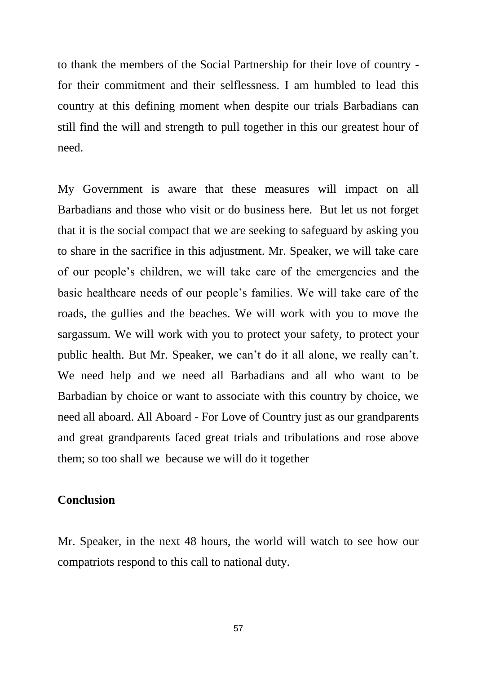to thank the members of the Social Partnership for their love of country for their commitment and their selflessness. I am humbled to lead this country at this defining moment when despite our trials Barbadians can still find the will and strength to pull together in this our greatest hour of need.

My Government is aware that these measures will impact on all Barbadians and those who visit or do business here. But let us not forget that it is the social compact that we are seeking to safeguard by asking you to share in the sacrifice in this adjustment. Mr. Speaker, we will take care of our people's children, we will take care of the emergencies and the basic healthcare needs of our people's families. We will take care of the roads, the gullies and the beaches. We will work with you to move the sargassum. We will work with you to protect your safety, to protect your public health. But Mr. Speaker, we can't do it all alone, we really can't. We need help and we need all Barbadians and all who want to be Barbadian by choice or want to associate with this country by choice, we need all aboard. All Aboard - For Love of Country just as our grandparents and great grandparents faced great trials and tribulations and rose above them; so too shall we because we will do it together

# **Conclusion**

Mr. Speaker, in the next 48 hours, the world will watch to see how our compatriots respond to this call to national duty.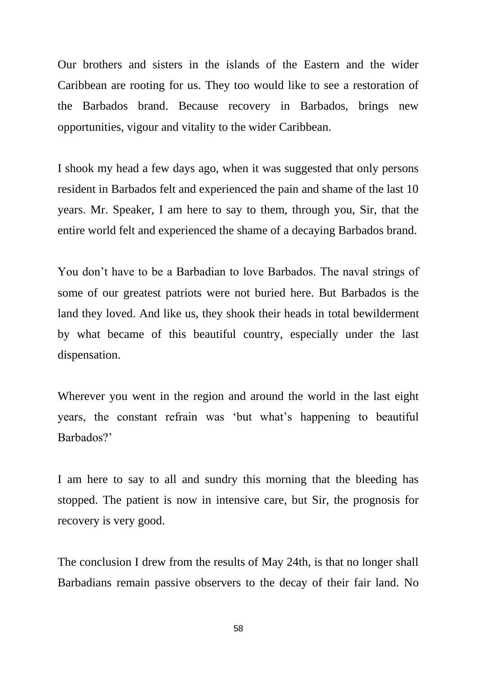Our brothers and sisters in the islands of the Eastern and the wider Caribbean are rooting for us. They too would like to see a restoration of the Barbados brand. Because recovery in Barbados, brings new opportunities, vigour and vitality to the wider Caribbean.

I shook my head a few days ago, when it was suggested that only persons resident in Barbados felt and experienced the pain and shame of the last 10 years. Mr. Speaker, I am here to say to them, through you, Sir, that the entire world felt and experienced the shame of a decaying Barbados brand.

You don't have to be a Barbadian to love Barbados. The naval strings of some of our greatest patriots were not buried here. But Barbados is the land they loved. And like us, they shook their heads in total bewilderment by what became of this beautiful country, especially under the last dispensation.

Wherever you went in the region and around the world in the last eight years, the constant refrain was 'but what's happening to beautiful Barbados?'

I am here to say to all and sundry this morning that the bleeding has stopped. The patient is now in intensive care, but Sir, the prognosis for recovery is very good.

The conclusion I drew from the results of May 24th, is that no longer shall Barbadians remain passive observers to the decay of their fair land. No

58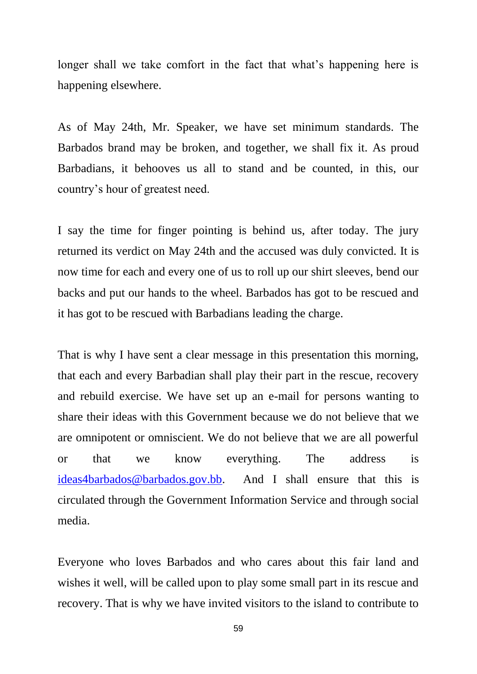longer shall we take comfort in the fact that what's happening here is happening elsewhere.

As of May 24th, Mr. Speaker, we have set minimum standards. The Barbados brand may be broken, and together, we shall fix it. As proud Barbadians, it behooves us all to stand and be counted, in this, our country's hour of greatest need.

I say the time for finger pointing is behind us, after today. The jury returned its verdict on May 24th and the accused was duly convicted. It is now time for each and every one of us to roll up our shirt sleeves, bend our backs and put our hands to the wheel. Barbados has got to be rescued and it has got to be rescued with Barbadians leading the charge.

That is why I have sent a clear message in this presentation this morning, that each and every Barbadian shall play their part in the rescue, recovery and rebuild exercise. We have set up an e-mail for persons wanting to share their ideas with this Government because we do not believe that we are omnipotent or omniscient. We do not believe that we are all powerful or that we know everything. The address is [ideas4barbados@barbados.gov.bb.](mailto:ideas4barbados@barbados.gov.bb) And I shall ensure that this is circulated through the Government Information Service and through social media.

Everyone who loves Barbados and who cares about this fair land and wishes it well, will be called upon to play some small part in its rescue and recovery. That is why we have invited visitors to the island to contribute to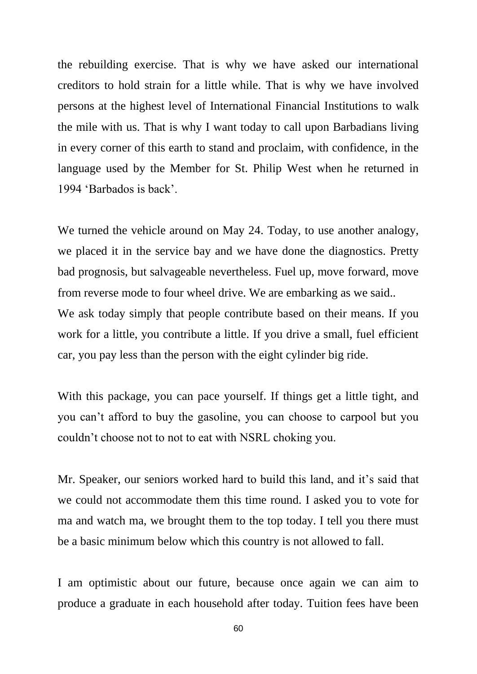the rebuilding exercise. That is why we have asked our international creditors to hold strain for a little while. That is why we have involved persons at the highest level of International Financial Institutions to walk the mile with us. That is why I want today to call upon Barbadians living in every corner of this earth to stand and proclaim, with confidence, in the language used by the Member for St. Philip West when he returned in 1994 'Barbados is back'.

We turned the vehicle around on May 24. Today, to use another analogy, we placed it in the service bay and we have done the diagnostics. Pretty bad prognosis, but salvageable nevertheless. Fuel up, move forward, move from reverse mode to four wheel drive. We are embarking as we said.. We ask today simply that people contribute based on their means. If you work for a little, you contribute a little. If you drive a small, fuel efficient car, you pay less than the person with the eight cylinder big ride.

With this package, you can pace yourself. If things get a little tight, and you can't afford to buy the gasoline, you can choose to carpool but you couldn't choose not to not to eat with NSRL choking you.

Mr. Speaker, our seniors worked hard to build this land, and it's said that we could not accommodate them this time round. I asked you to vote for ma and watch ma, we brought them to the top today. I tell you there must be a basic minimum below which this country is not allowed to fall.

I am optimistic about our future, because once again we can aim to produce a graduate in each household after today. Tuition fees have been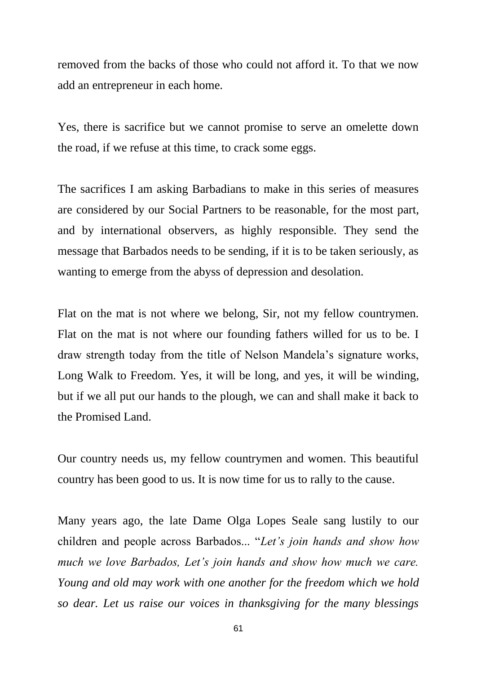removed from the backs of those who could not afford it. To that we now add an entrepreneur in each home.

Yes, there is sacrifice but we cannot promise to serve an omelette down the road, if we refuse at this time, to crack some eggs.

The sacrifices I am asking Barbadians to make in this series of measures are considered by our Social Partners to be reasonable, for the most part, and by international observers, as highly responsible. They send the message that Barbados needs to be sending, if it is to be taken seriously, as wanting to emerge from the abyss of depression and desolation.

Flat on the mat is not where we belong, Sir, not my fellow countrymen. Flat on the mat is not where our founding fathers willed for us to be. I draw strength today from the title of Nelson Mandela's signature works, Long Walk to Freedom. Yes, it will be long, and yes, it will be winding, but if we all put our hands to the plough, we can and shall make it back to the Promised Land.

Our country needs us, my fellow countrymen and women. This beautiful country has been good to us. It is now time for us to rally to the cause.

Many years ago, the late Dame Olga Lopes Seale sang lustily to our children and people across Barbados... "*Let's join hands and show how much we love Barbados, Let's join hands and show how much we care. Young and old may work with one another for the freedom which we hold so dear. Let us raise our voices in thanksgiving for the many blessings*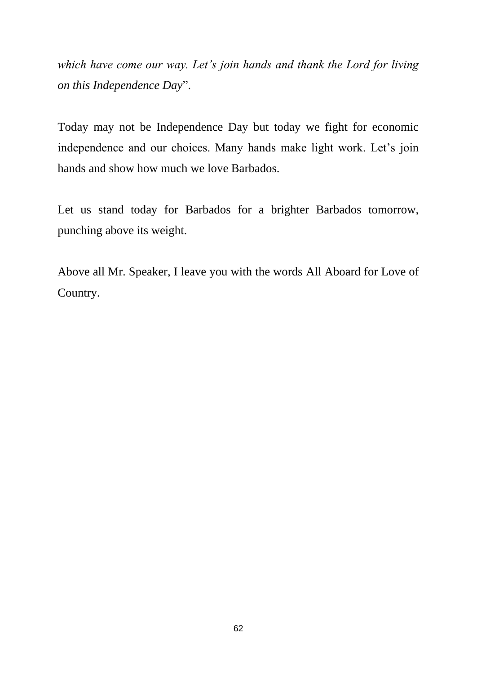*which have come our way. Let's join hands and thank the Lord for living on this Independence Day*".

Today may not be Independence Day but today we fight for economic independence and our choices. Many hands make light work. Let's join hands and show how much we love Barbados.

Let us stand today for Barbados for a brighter Barbados tomorrow, punching above its weight.

Above all Mr. Speaker, I leave you with the words All Aboard for Love of Country.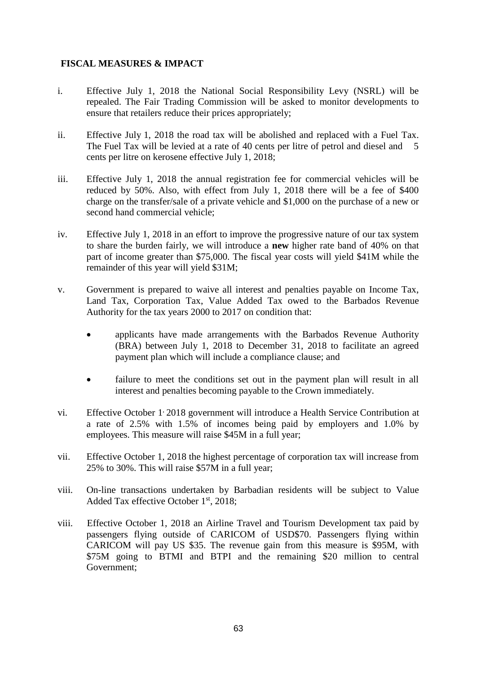### **FISCAL MEASURES & IMPACT**

- i. Effective July 1, 2018 the National Social Responsibility Levy (NSRL) will be repealed. The Fair Trading Commission will be asked to monitor developments to ensure that retailers reduce their prices appropriately;
- ii. Effective July 1, 2018 the road tax will be abolished and replaced with a Fuel Tax. The Fuel Tax will be levied at a rate of 40 cents per litre of petrol and diesel and 5 cents per litre on kerosene effective July 1, 2018;
- iii. Effective July 1, 2018 the annual registration fee for commercial vehicles will be reduced by 50%. Also, with effect from July 1, 2018 there will be a fee of \$400 charge on the transfer/sale of a private vehicle and \$1,000 on the purchase of a new or second hand commercial vehicle;
- iv. Effective July 1, 2018 in an effort to improve the progressive nature of our tax system to share the burden fairly, we will introduce a **new** higher rate band of 40% on that part of income greater than \$75,000. The fiscal year costs will yield \$41M while the remainder of this year will yield \$31M;
- v. Government is prepared to waive all interest and penalties payable on Income Tax, Land Tax, Corporation Tax, Value Added Tax owed to the Barbados Revenue Authority for the tax years 2000 to 2017 on condition that:
	- applicants have made arrangements with the Barbados Revenue Authority (BRA) between July 1, 2018 to December 31, 2018 to facilitate an agreed payment plan which will include a compliance clause; and
	- failure to meet the conditions set out in the payment plan will result in all interest and penalties becoming payable to the Crown immediately.
- vi. Effective October 1:2018 government will introduce a Health Service Contribution at a rate of 2.5% with 1.5% of incomes being paid by employers and 1.0% by employees. This measure will raise \$45M in a full year;
- vii. Effective October 1, 2018 the highest percentage of corporation tax will increase from 25% to 30%. This will raise \$57M in a full year;
- viii. On-line transactions undertaken by Barbadian residents will be subject to Value Added Tax effective October 1st, 2018;
- viii. Effective October 1, 2018 an Airline Travel and Tourism Development tax paid by passengers flying outside of CARICOM of USD\$70. Passengers flying within CARICOM will pay US \$35. The revenue gain from this measure is \$95M, with \$75M going to BTMI and BTPI and the remaining \$20 million to central Government;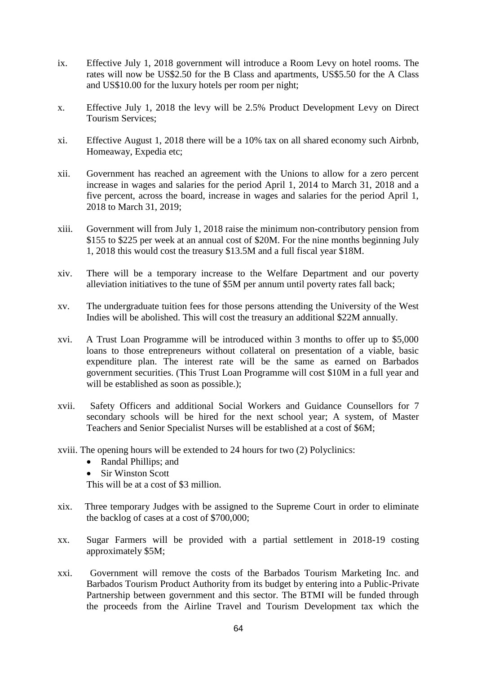- ix. Effective July 1, 2018 government will introduce a Room Levy on hotel rooms. The rates will now be US\$2.50 for the B Class and apartments, US\$5.50 for the A Class and US\$10.00 for the luxury hotels per room per night;
- x. Effective July 1, 2018 the levy will be 2.5% Product Development Levy on Direct Tourism Services;
- xi. Effective August 1, 2018 there will be a 10% tax on all shared economy such Airbnb, Homeaway, Expedia etc;
- xii. Government has reached an agreement with the Unions to allow for a zero percent increase in wages and salaries for the period April 1, 2014 to March 31, 2018 and a five percent, across the board, increase in wages and salaries for the period April 1, 2018 to March 31, 2019;
- xiii. Government will from July 1, 2018 raise the minimum non-contributory pension from \$155 to \$225 per week at an annual cost of \$20M. For the nine months beginning July 1, 2018 this would cost the treasury \$13.5M and a full fiscal year \$18M.
- xiv. There will be a temporary increase to the Welfare Department and our poverty alleviation initiatives to the tune of \$5M per annum until poverty rates fall back;
- xv. The undergraduate tuition fees for those persons attending the University of the West Indies will be abolished. This will cost the treasury an additional \$22M annually.
- xvi. A Trust Loan Programme will be introduced within 3 months to offer up to \$5,000 loans to those entrepreneurs without collateral on presentation of a viable, basic expenditure plan. The interest rate will be the same as earned on Barbados government securities. (This Trust Loan Programme will cost \$10M in a full year and will be established as soon as possible.);
- xvii. Safety Officers and additional Social Workers and Guidance Counsellors for 7 secondary schools will be hired for the next school year; A system, of Master Teachers and Senior Specialist Nurses will be established at a cost of \$6M;
- xviii. The opening hours will be extended to 24 hours for two (2) Polyclinics:
	- Randal Phillips; and
	- Sir Winston Scott

This will be at a cost of \$3 million.

- xix. Three temporary Judges with be assigned to the Supreme Court in order to eliminate the backlog of cases at a cost of \$700,000;
- xx. Sugar Farmers will be provided with a partial settlement in 2018-19 costing approximately \$5M;
- xxi. Government will remove the costs of the Barbados Tourism Marketing Inc. and Barbados Tourism Product Authority from its budget by entering into a Public-Private Partnership between government and this sector. The BTMI will be funded through the proceeds from the Airline Travel and Tourism Development tax which the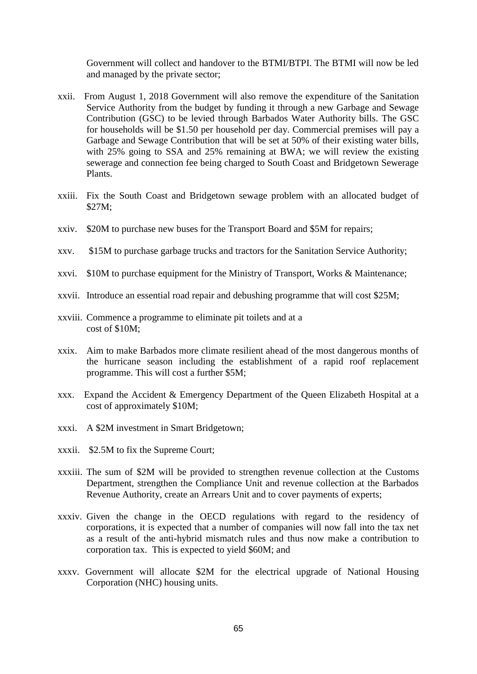Government will collect and handover to the BTMI/BTPI. The BTMI will now be led and managed by the private sector;

- xxii. From August 1, 2018 Government will also remove the expenditure of the Sanitation Service Authority from the budget by funding it through a new Garbage and Sewage Contribution (GSC) to be levied through Barbados Water Authority bills. The GSC for households will be \$1.50 per household per day. Commercial premises will pay a Garbage and Sewage Contribution that will be set at 50% of their existing water bills, with 25% going to SSA and 25% remaining at BWA; we will review the existing sewerage and connection fee being charged to South Coast and Bridgetown Sewerage Plants.
- xxiii. Fix the South Coast and Bridgetown sewage problem with an allocated budget of \$27M;
- xxiv. \$20M to purchase new buses for the Transport Board and \$5M for repairs;
- xxv. \$15M to purchase garbage trucks and tractors for the Sanitation Service Authority;
- xxvi. \$10M to purchase equipment for the Ministry of Transport, Works & Maintenance;
- xxvii. Introduce an essential road repair and debushing programme that will cost \$25M;
- xxviii. Commence a programme to eliminate pit toilets and at a cost of \$10M;
- xxix. Aim to make Barbados more climate resilient ahead of the most dangerous months of the hurricane season including the establishment of a rapid roof replacement programme. This will cost a further \$5M;
- xxx. Expand the Accident & Emergency Department of the Queen Elizabeth Hospital at a cost of approximately \$10M;
- xxxi. A \$2M investment in Smart Bridgetown;
- xxxii. \$2.5M to fix the Supreme Court;
- xxxiii. The sum of \$2M will be provided to strengthen revenue collection at the Customs Department, strengthen the Compliance Unit and revenue collection at the Barbados Revenue Authority, create an Arrears Unit and to cover payments of experts;
- xxxiv. Given the change in the OECD regulations with regard to the residency of corporations, it is expected that a number of companies will now fall into the tax net as a result of the anti-hybrid mismatch rules and thus now make a contribution to corporation tax. This is expected to yield \$60M; and
- xxxv. Government will allocate \$2M for the electrical upgrade of National Housing Corporation (NHC) housing units.